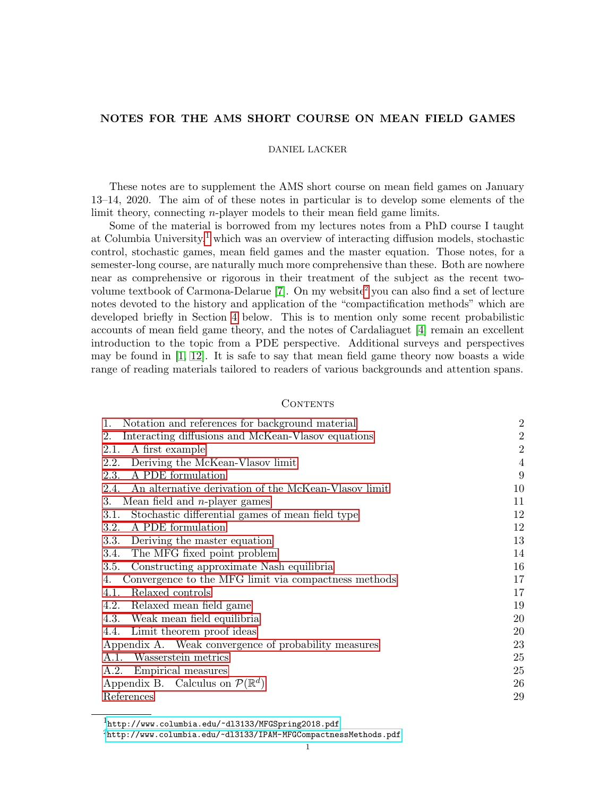# NOTES FOR THE AMS SHORT COURSE ON MEAN FIELD GAMES

## DANIEL LACKER

These notes are to supplement the AMS short course on mean field games on January 13–14, 2020. The aim of of these notes in particular is to develop some elements of the limit theory, connecting *n*-player models to their mean field game limits.

Some of the material is borrowed from my lectures notes from a PhD course I taught at Columbia University, $<sup>1</sup>$  $<sup>1</sup>$  $<sup>1</sup>$  which was an overview of interacting diffusion models, stochastic</sup> control, stochastic games, mean field games and the master equation. Those notes, for a semester-long course, are naturally much more comprehensive than these. Both are nowhere near as comprehensive or rigorous in their treatment of the subject as the recent twovolume textbook of Carmona-Delarue  $[7]$ . On my website<sup>[2](#page-0-1)</sup> you can also find a set of lecture notes devoted to the history and application of the "compactification methods" which are developed briefly in Section [4](#page-16-0) below. This is to mention only some recent probabilistic accounts of mean field game theory, and the notes of Cardaliaguet [\[4\]](#page-28-1) remain an excellent introduction to the topic from a PDE perspective. Additional surveys and perspectives may be found in  $[1, 12]$  $[1, 12]$ . It is safe to say that mean field game theory now boasts a wide range of reading materials tailored to readers of various backgrounds and attention spans.

## **CONTENTS**

| Notation and references for background material<br>1.        | $\overline{2}$ |
|--------------------------------------------------------------|----------------|
| Interacting diffusions and McKean-Vlasov equations<br>2.     | $\overline{2}$ |
| A first example<br>2.1.                                      | $\overline{2}$ |
| Deriving the McKean-Vlasov limit<br>2.2.                     | 4              |
| A PDE formulation<br>2.3.                                    | 9              |
| An alternative derivation of the McKean-Vlasov limit<br>2.4. | 10             |
| Mean field and $n$ -player games<br>3.                       | 11             |
| Stochastic differential games of mean field type<br>3.1.     | 12             |
| A PDE formulation<br>3.2.                                    | 12             |
| 3.3.<br>Deriving the master equation                         | 13             |
| The MFG fixed point problem<br>3.4.                          | 14             |
| Constructing approximate Nash equilibria<br>3.5.             | 16             |
| Convergence to the MFG limit via compactness methods<br>4.   | 17             |
| Relaxed controls<br>4.1.                                     | 17             |
| Relaxed mean field game<br>4.2.                              | 19             |
| 4.3. Weak mean field equilibria                              | 20             |
| 4.4. Limit theorem proof ideas                               | 20             |
| Appendix A. Weak convergence of probability measures         | 23             |
| A.1. Wasserstein metrics                                     | 25             |
| A.2. Empirical measures                                      | 25             |
| Appendix B. Calculus on $\mathcal{P}(\mathbb{R}^d)$          | 26             |
| References                                                   | 29             |

<span id="page-0-0"></span><sup>1</sup><http://www.columbia.edu/~dl3133/MFGSpring2018.pdf>

<span id="page-0-1"></span><sup>2</sup><http://www.columbia.edu/~dl3133/IPAM-MFGCompactnessMethods.pdf>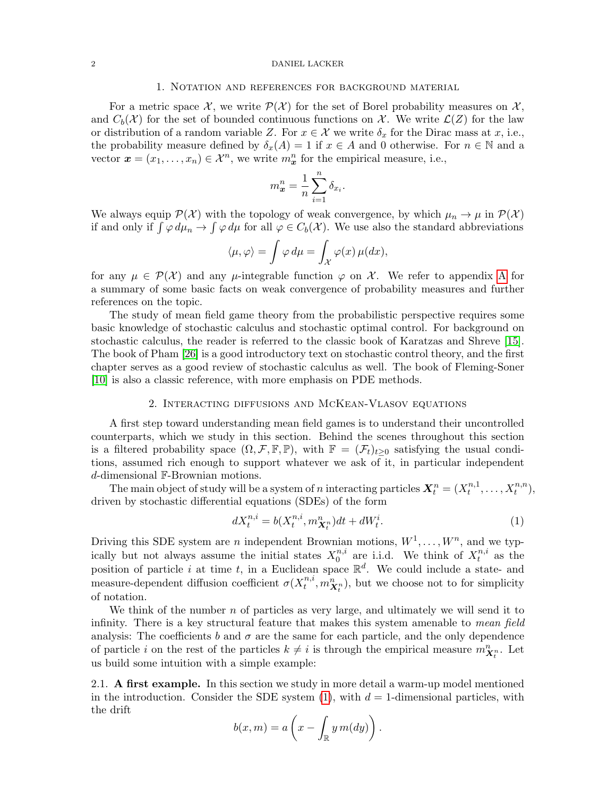#### <span id="page-1-0"></span>2 DANIEL LACKER

#### 1. Notation and references for background material

For a metric space X, we write  $\mathcal{P}(\mathcal{X})$  for the set of Borel probability measures on X, and  $C_b(\mathcal{X})$  for the set of bounded continuous functions on X. We write  $\mathcal{L}(Z)$  for the law or distribution of a random variable Z. For  $x \in \mathcal{X}$  we write  $\delta_x$  for the Dirac mass at x, i.e., the probability measure defined by  $\delta_x(A) = 1$  if  $x \in A$  and 0 otherwise. For  $n \in \mathbb{N}$  and a vector  $\boldsymbol{x} = (x_1, \ldots, x_n) \in \mathcal{X}^n$ , we write  $m^n_{\boldsymbol{x}}$  for the empirical measure, i.e.,

$$
m^n_{\boldsymbol{x}} = \frac{1}{n} \sum_{i=1}^n \delta_{x_i}.
$$

We always equip  $\mathcal{P}(\mathcal{X})$  with the topology of weak convergence, by which  $\mu_n \to \mu$  in  $\mathcal{P}(\mathcal{X})$ if and only if  $\int \varphi \, d\mu_n \to \int \varphi \, d\mu$  for all  $\varphi \in C_b(\mathcal{X})$ . We use also the standard abbreviations

$$
\langle \mu, \varphi \rangle = \int \varphi \, d\mu = \int_{\mathcal{X}} \varphi(x) \, \mu(dx),
$$

for any  $\mu \in \mathcal{P}(\mathcal{X})$  and any  $\mu$ -integrable function  $\varphi$  on X. We refer to appendix [A](#page-22-0) for a summary of some basic facts on weak convergence of probability measures and further references on the topic.

The study of mean field game theory from the probabilistic perspective requires some basic knowledge of stochastic calculus and stochastic optimal control. For background on stochastic calculus, the reader is referred to the classic book of Karatzas and Shreve [\[15\]](#page-28-5). The book of Pham [\[26\]](#page-28-6) is a good introductory text on stochastic control theory, and the first chapter serves as a good review of stochastic calculus as well. The book of Fleming-Soner [\[10\]](#page-28-7) is also a classic reference, with more emphasis on PDE methods.

## 2. Interacting diffusions and McKean-Vlasov equations

<span id="page-1-1"></span>A first step toward understanding mean field games is to understand their uncontrolled counterparts, which we study in this section. Behind the scenes throughout this section is a filtered probability space  $(\Omega, \mathcal{F}, \mathbb{F}, \mathbb{P})$ , with  $\mathbb{F} = (\mathcal{F}_t)_{t>0}$  satisfying the usual conditions, assumed rich enough to support whatever we ask of it, in particular independent d-dimensional F-Brownian motions.

The main object of study will be a system of n interacting particles  $X_t^n = (X_t^{n,1})$  $t^{n,1}, \ldots, X_t^{n,n}$ ), driven by stochastic differential equations (SDEs) of the form

$$
dX_t^{n,i} = b(X_t^{n,i}, m_{\mathbf{X}_t^n}^n)dt + dW_t^i.
$$
 (1)

<span id="page-1-3"></span>Driving this SDE system are *n* independent Brownian motions,  $W^1, \ldots, W^n$ , and we typically but not always assume the initial states  $X_0^{n,i}$  $n_i$ <sup>n,i</sup> are i.i.d. We think of  $X_t^{n,i}$  $t^{n,i}$  as the position of particle i at time t, in a Euclidean space  $\mathbb{R}^d$ . We could include a state- and measure-dependent diffusion coefficient  $\sigma(X_t^{n,i})$  $t^{n,i}, m_{\mathbf{X}_t^n}^n$ , but we choose not to for simplicity of notation.

We think of the number  $n$  of particles as very large, and ultimately we will send it to infinity. There is a key structural feature that makes this system amenable to *mean field* analysis: The coefficients b and  $\sigma$  are the same for each particle, and the only dependence of particle i on the rest of the particles  $k \neq i$  is through the empirical measure  $m_{\mathbf{X}_t^n}^n$ . Let us build some intuition with a simple example:

<span id="page-1-2"></span>2.1. A first example. In this section we study in more detail a warm-up model mentioned in the introduction. Consider the SDE system  $(1)$ , with  $d = 1$ -dimensional particles, with the drift

$$
b(x,m) = a\left(x - \int_{\mathbb{R}} y m(dy)\right).
$$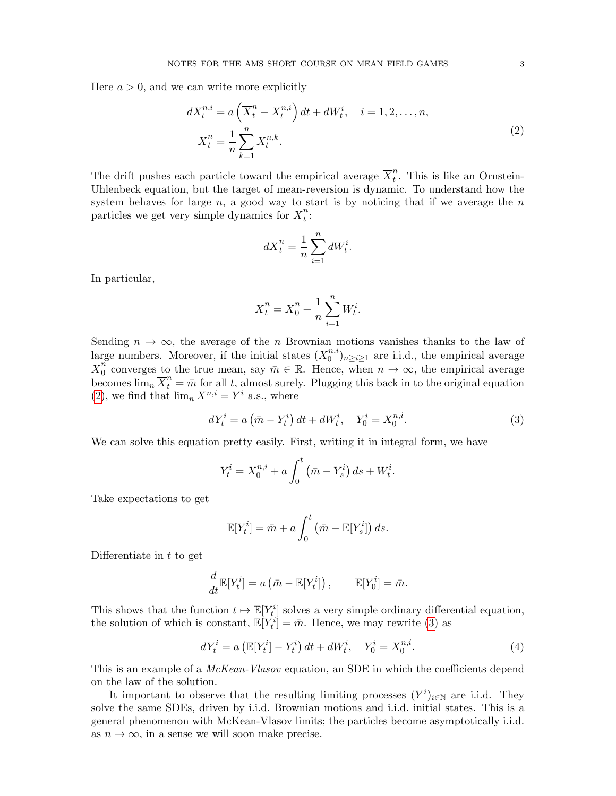<span id="page-2-0"></span>Here  $a > 0$ , and we can write more explicitly

$$
dX_t^{n,i} = a\left(\overline{X}_t^n - X_t^{n,i}\right)dt + dW_t^i, \quad i = 1, 2, \dots, n,
$$
  

$$
\overline{X}_t^n = \frac{1}{n}\sum_{k=1}^n X_t^{n,k}.
$$
 (2)

The drift pushes each particle toward the empirical average  $\overline{X}_t^n$  $t<sup>n</sup>$ . This is like an Ornstein-Uhlenbeck equation, but the target of mean-reversion is dynamic. To understand how the system behaves for large  $n$ , a good way to start is by noticing that if we average the  $n$ particles we get very simple dynamics for  $\overline{X}_t^n$  $\frac{n}{t}$ :

$$
d\overline{X}_t^n = \frac{1}{n} \sum_{i=1}^n dW_t^i.
$$

In particular,

<span id="page-2-1"></span>
$$
\overline{X}_t^n = \overline{X}_0^n + \frac{1}{n} \sum_{i=1}^n W_t^i.
$$

Sending  $n \to \infty$ , the average of the n Brownian motions vanishes thanks to the law of large numbers. Moreover, if the initial states  $(X_0^{n,i})_{n\geq i\geq 1}$  are i.i.d., the empirical average 0  $\overline{X}_0^n$ <sup>n</sup> converges to the true mean, say  $\bar{m} \in \mathbb{R}$ . Hence, when  $n \to \infty$ , the empirical average becomes  $\lim_{n} \overline{X}_{t}^{n} = \overline{m}$  for all t, almost surely. Plugging this back in to the original equation [\(2\)](#page-2-0), we find that  $\lim_n X^{n,i} = Y^i$  a.s., where

$$
dY_t^i = a\left(\bar{m} - Y_t^i\right)dt + dW_t^i, \quad Y_0^i = X_0^{n,i}.
$$
 (3)

We can solve this equation pretty easily. First, writing it in integral form, we have

$$
Y_t^i = X_0^{n,i} + a \int_0^t (\bar{m} - Y_s^i) \, ds + W_t^i.
$$

Take expectations to get

$$
\mathbb{E}[Y_t^i] = \bar{m} + a \int_0^t \left(\bar{m} - \mathbb{E}[Y_s^i]\right) ds.
$$

Differentiate in  $t$  to get

$$
\frac{d}{dt}\mathbb{E}[Y_t^i] = a\left(\bar{m} - \mathbb{E}[Y_t^i]\right), \qquad \mathbb{E}[Y_0^i] = \bar{m}.
$$

This shows that the function  $t \mapsto \mathbb{E}[Y_t^i]$  solves a very simple ordinary differential equation, the solution of which is constant,  $\mathbb{E}[Y_t^i] = \bar{m}$ . Hence, we may rewrite [\(3\)](#page-2-1) as

$$
dY_t^i = a \left( \mathbb{E}[Y_t^i] - Y_t^i \right) dt + dW_t^i, \quad Y_0^i = X_0^{n,i}.
$$
 (4)

This is an example of a *McKean-Vlasov* equation, an SDE in which the coefficients depend on the law of the solution.

It important to observe that the resulting limiting processes  $(Y^i)_{i\in\mathbb{N}}$  are i.i.d. They solve the same SDEs, driven by i.i.d. Brownian motions and i.i.d. initial states. This is a general phenomenon with McKean-Vlasov limits; the particles become asymptotically i.i.d. as  $n \to \infty$ , in a sense we will soon make precise.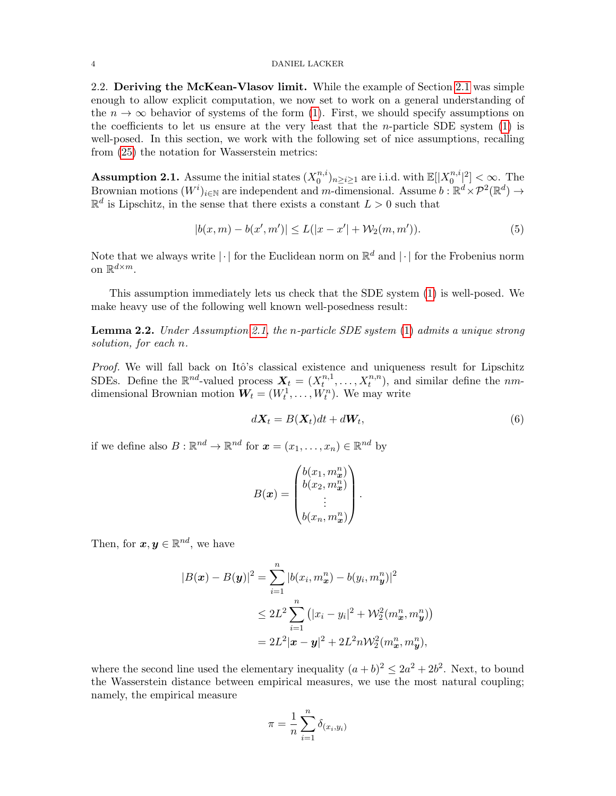#### 4 DANIEL LACKER

<span id="page-3-0"></span>2.2. Deriving the McKean-Vlasov limit. While the example of Section [2.1](#page-1-2) was simple enough to allow explicit computation, we now set to work on a general understanding of the  $n \to \infty$  behavior of systems of the form [\(1\)](#page-1-3). First, we should specify assumptions on the coefficients to let us ensure at the very least that the *n*-particle SDE system  $(1)$  is well-posed. In this section, we work with the following set of nice assumptions, recalling from [\(25\)](#page-24-2) the notation for Wasserstein metrics:

<span id="page-3-1"></span>**Assumption 2.1.** Assume the initial states  $(X_0^{n,i})$  $\mathbb{E}[X_0^{n,i}]_{n\geq i\geq 1}$  are i.i.d. with  $\mathbb{E}[|X_0^{n,i}|]$  $\binom{n,i}{0}^2] < \infty$ . The Brownian motions  $(W^i)_{i\in\mathbb{N}}$  are independent and m-dimensional. Assume  $b : \mathbb{R}^d \times \mathcal{P}^2(\mathbb{R}^d) \to$  $\mathbb{R}^d$  is Lipschitz, in the sense that there exists a constant  $L > 0$  such that

$$
|b(x,m) - b(x',m')| \le L(|x - x'| + \mathcal{W}_2(m,m')). \tag{5}
$$

Note that we always write  $|\cdot|$  for the Euclidean norm on  $\mathbb{R}^d$  and  $|\cdot|$  for the Frobenius norm on  $\mathbb{R}^{d \times m}$ .

This assumption immediately lets us check that the SDE system [\(1\)](#page-1-3) is well-posed. We make heavy use of the following well known well-posedness result:

Lemma 2.2. Under Assumption [2.1,](#page-3-1) the n-particle SDE system [\(1\)](#page-1-3) admits a unique strong solution, for each n.

*Proof.* We will fall back on Itô's classical existence and uniqueness result for Lipschitz SDEs. Define the  $\mathbb{R}^{nd}$ -valued process  $X_t = (X_t^{n,1})$  $t^{n,1}, \ldots, X_t^{n,n}$ , and similar define the nmdimensional Brownian motion  $W_t = (W_t^1, \ldots, W_t^n)$ . We may write

<span id="page-3-2"></span>
$$
d\mathbf{X}_t = B(\mathbf{X}_t)dt + d\mathbf{W}_t, \tag{6}
$$

if we define also  $B: \mathbb{R}^{nd} \to \mathbb{R}^{nd}$  for  $\boldsymbol{x} = (x_1, \dots, x_n) \in \mathbb{R}^{nd}$  by

$$
B(\boldsymbol{x}) = \begin{pmatrix} b(x_1, m^n_{\boldsymbol{x}}) \\ b(x_2, m^n_{\boldsymbol{x}}) \\ \vdots \\ b(x_n, m^n_{\boldsymbol{x}}) \end{pmatrix}.
$$

Then, for  $\boldsymbol{x}, \boldsymbol{y} \in \mathbb{R}^{nd}$ , we have

$$
|B(\mathbf{x}) - B(\mathbf{y})|^2 = \sum_{i=1}^n |b(x_i, m^n_{\mathbf{x}}) - b(y_i, m^n_{\mathbf{y}})|^2
$$
  
\n
$$
\leq 2L^2 \sum_{i=1}^n (|x_i - y_i|^2 + \mathcal{W}_2^2(m^n_{\mathbf{x}}, m^n_{\mathbf{y}}))
$$
  
\n
$$
= 2L^2 |\mathbf{x} - \mathbf{y}|^2 + 2L^2 n \mathcal{W}_2^2(m^n_{\mathbf{x}}, m^n_{\mathbf{y}}),
$$

where the second line used the elementary inequality  $(a + b)^2 \le 2a^2 + 2b^2$ . Next, to bound the Wasserstein distance between empirical measures, we use the most natural coupling; namely, the empirical measure

$$
\pi = \frac{1}{n} \sum_{i=1}^{n} \delta_{(x_i, y_i)}
$$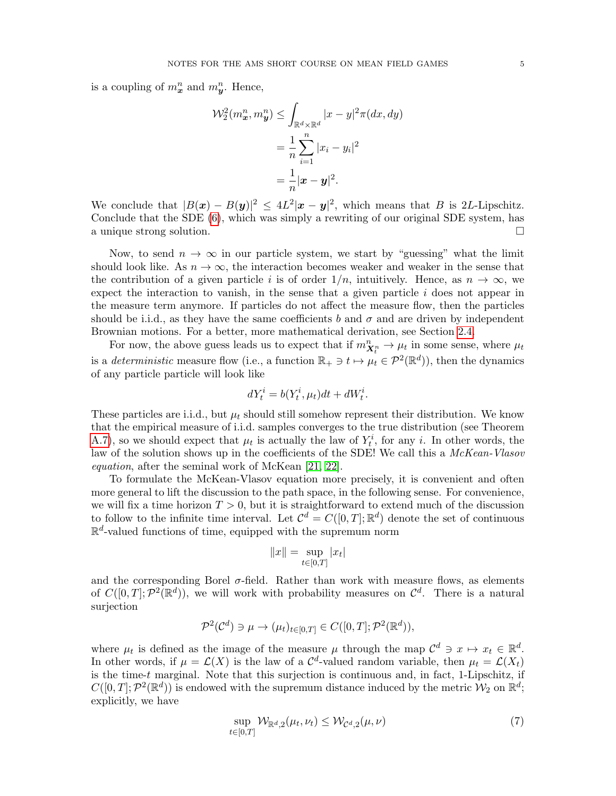is a coupling of  $m_x^n$  and  $m_y^n$ . Hence,

$$
\mathcal{W}_2^2(m_x^n, m_y^n) \le \int_{\mathbb{R}^d \times \mathbb{R}^d} |x - y|^2 \pi(dx, dy)
$$

$$
= \frac{1}{n} \sum_{i=1}^n |x_i - y_i|^2
$$

$$
= \frac{1}{n} |\mathbf{x} - \mathbf{y}|^2.
$$

We conclude that  $|B(x) - B(y)|^2 \leq 4L^2 |x - y|^2$ , which means that B is 2L-Lipschitz. Conclude that the SDE [\(6\)](#page-3-2), which was simply a rewriting of our original SDE system, has a unique strong solution.

Now, to send  $n \to \infty$  in our particle system, we start by "guessing" what the limit should look like. As  $n \to \infty$ , the interaction becomes weaker and weaker in the sense that the contribution of a given particle i is of order  $1/n$ , intuitively. Hence, as  $n \to \infty$ , we expect the interaction to vanish, in the sense that a given particle  $i$  does not appear in the measure term anymore. If particles do not affect the measure flow, then the particles should be i.i.d., as they have the same coefficients b and  $\sigma$  and are driven by independent Brownian motions. For a better, more mathematical derivation, see Section [2.4.](#page-9-0)

For now, the above guess leads us to expect that if  $m_{X_t^n}^n \to \mu_t$  in some sense, where  $\mu_t$ is a *deterministic* measure flow (i.e., a function  $\mathbb{R}_+ \ni t \mapsto \mu_t \in \mathcal{P}^2(\mathbb{R}^d)$ ), then the dynamics of any particle particle will look like

$$
dY_t^i = b(Y_t^i, \mu_t)dt + dW_t^i.
$$

These particles are i.i.d., but  $\mu_t$  should still somehow represent their distribution. We know that the empirical measure of i.i.d. samples converges to the true distribution (see Theorem [A.7\)](#page-24-3), so we should expect that  $\mu_t$  is actually the law of  $Y_t^i$ , for any i. In other words, the law of the solution shows up in the coefficients of the SDE! We call this a McKean-Vlasov equation, after the seminal work of McKean [\[21,](#page-28-8) [22\]](#page-28-9).

To formulate the McKean-Vlasov equation more precisely, it is convenient and often more general to lift the discussion to the path space, in the following sense. For convenience, we will fix a time horizon  $T > 0$ , but it is straightforward to extend much of the discussion to follow to the infinite time interval. Let  $\mathcal{C}^d = C([0,T];\mathbb{R}^d)$  denote the set of continuous  $\mathbb{R}^d$ -valued functions of time, equipped with the supremum norm

$$
||x|| = \sup_{t \in [0,T]} |x_t|
$$

and the corresponding Borel  $\sigma$ -field. Rather than work with measure flows, as elements of  $C([0,T]; \mathcal{P}^2(\mathbb{R}^d))$ , we will work with probability measures on  $\mathcal{C}^d$ . There is a natural surjection

$$
\mathcal{P}^2(\mathcal{C}^d) \ni \mu \to (\mu_t)_{t \in [0,T]} \in C([0,T]; \mathcal{P}^2(\mathbb{R}^d)),
$$

where  $\mu_t$  is defined as the image of the measure  $\mu$  through the map  $\mathcal{C}^d \ni x \mapsto x_t \in \mathbb{R}^d$ . In other words, if  $\mu = \mathcal{L}(X)$  is the law of a  $\mathcal{C}^d$ -valued random variable, then  $\mu_t = \mathcal{L}(X_t)$ is the time- $t$  marginal. Note that this surjection is continuous and, in fact, 1-Lipschitz, if  $C([0,T]; \mathcal{P}^2(\mathbb{R}^d))$  is endowed with the supremum distance induced by the metric  $\mathcal{W}_2$  on  $\mathbb{R}^d$ ; explicitly, we have

<span id="page-4-0"></span>
$$
\sup_{t \in [0,T]} \mathcal{W}_{\mathbb{R}^d,2}(\mu_t, \nu_t) \le \mathcal{W}_{\mathcal{C}^d,2}(\mu, \nu) \tag{7}
$$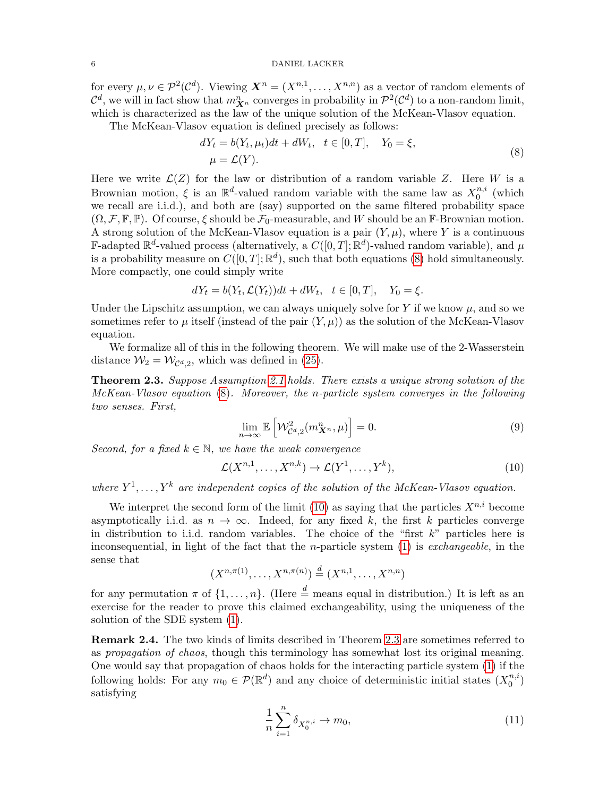for every  $\mu, \nu \in \mathcal{P}^2(\mathcal{C}^d)$ . Viewing  $\mathbf{X}^n = (X^{n,1}, \dots, X^{n,n})$  as a vector of random elements of  $\mathcal{C}^d$ , we will in fact show that  $m_{\mathbf{X}^n}^n$  converges in probability in  $\mathcal{P}^2(\mathcal{C}^d)$  to a non-random limit, which is characterized as the law of the unique solution of the McKean-Vlasov equation.

The McKean-Vlasov equation is defined precisely as follows:

<span id="page-5-0"></span>
$$
dYt = b(Yt, \mut)dt + dWt, \quad t \in [0, T], \quad Y0 = \xi,
$$
  

$$
\mu = \mathcal{L}(Y).
$$
 (8)

Here we write  $\mathcal{L}(Z)$  for the law or distribution of a random variable Z. Here W is a Brownian motion,  $\xi$  is an  $\mathbb{R}^d$ -valued random variable with the same law as  $X_0^{n,i}$  $\binom{n, i}{0}$  (which we recall are i.i.d.), and both are (say) supported on the same filtered probability space  $(\Omega, \mathcal{F}, \mathbb{F}, \mathbb{P})$ . Of course,  $\xi$  should be  $\mathcal{F}_0$ -measurable, and W should be an F-Brownian motion. A strong solution of the McKean-Vlasov equation is a pair  $(Y, \mu)$ , where Y is a continuous **F**-adapted  $\mathbb{R}^d$ -valued process (alternatively, a  $C([0,T]; \mathbb{R}^d)$ -valued random variable), and  $\mu$ is a probability measure on  $C([0,T];\mathbb{R}^d)$ , such that both equations [\(8\)](#page-5-0) hold simultaneously. More compactly, one could simply write

$$
dY_t = b(Y_t, \mathcal{L}(Y_t))dt + dW_t, \quad t \in [0, T], \quad Y_0 = \xi.
$$

Under the Lipschitz assumption, we can always uniquely solve for Y if we know  $\mu$ , and so we sometimes refer to  $\mu$  itself (instead of the pair  $(Y, \mu)$ ) as the solution of the McKean-Vlasov equation.

We formalize all of this in the following theorem. We will make use of the 2-Wasserstein distance  $\mathcal{W}_2 = \mathcal{W}_{\mathcal{C}^d,2}$ , which was defined in [\(25\)](#page-24-2).

<span id="page-5-2"></span>Theorem 2.3. Suppose Assumption [2.1](#page-3-1) holds. There exists a unique strong solution of the McKean-Vlasov equation [\(8\)](#page-5-0). Moreover, the n-particle system converges in the following two senses. First,

<span id="page-5-4"></span><span id="page-5-1"></span>
$$
\lim_{n \to \infty} \mathbb{E}\left[\mathcal{W}_{\mathcal{C}^d,2}^2(m_{\mathbf{X}^n}^n,\mu)\right] = 0. \tag{9}
$$

Second, for a fixed  $k \in \mathbb{N}$ , we have the weak convergence

$$
\mathcal{L}(X^{n,1},\ldots,X^{n,k}) \to \mathcal{L}(Y^1,\ldots,Y^k),\tag{10}
$$

where  $Y^1, \ldots, Y^k$  are independent copies of the solution of the McKean-Vlasov equation.

We interpret the second form of the limit [\(10\)](#page-5-1) as saying that the particles  $X^{n,i}$  become asymptotically i.i.d. as  $n \to \infty$ . Indeed, for any fixed k, the first k particles converge in distribution to i.i.d. random variables. The choice of the "first  $k$ " particles here is inconsequential, in light of the fact that the *n*-particle system  $(1)$  is *exchangeable*, in the sense that

$$
(X^{n,\pi(1)},...,X^{n,\pi(n)}) \stackrel{d}{=} (X^{n,1},...,X^{n,n})
$$

for any permutation  $\pi$  of  $\{1, \ldots, n\}$ . (Here  $\stackrel{d}{=}$  means equal in distribution.) It is left as an exercise for the reader to prove this claimed exchangeability, using the uniqueness of the solution of the SDE system [\(1\)](#page-1-3).

Remark 2.4. The two kinds of limits described in Theorem [2.3](#page-5-2) are sometimes referred to as propagation of chaos, though this terminology has somewhat lost its original meaning. One would say that propagation of chaos holds for the interacting particle system [\(1\)](#page-1-3) if the following holds: For any  $m_0 \in \mathcal{P}(\mathbb{R}^d)$  and any choice of deterministic initial states  $(X_0^{n,i})$  $\binom{n, i}{0}$ satisfying

<span id="page-5-3"></span>
$$
\frac{1}{n} \sum_{i=1}^{n} \delta_{X_0^{n,i}} \to m_0,\tag{11}
$$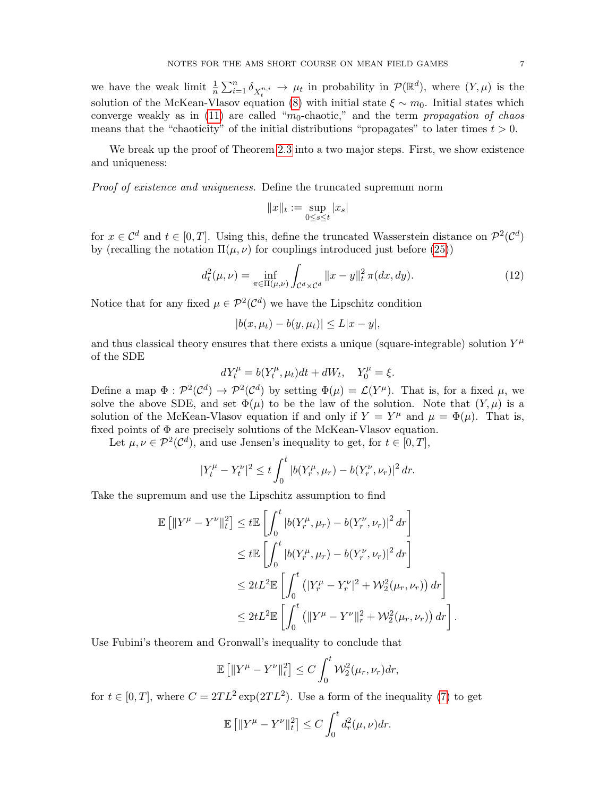we have the weak limit  $\frac{1}{n} \sum_{i=1}^n \delta_{X_t^{n,i}} \to \mu_t$  in probability in  $\mathcal{P}(\mathbb{R}^d)$ , where  $(Y,\mu)$  is the solution of the McKean-Vlasov equation [\(8\)](#page-5-0) with initial state  $\xi \sim m_0$ . Initial states which converge weakly as in [\(11\)](#page-5-3) are called " $m_0$ -chaotic," and the term propagation of chaos means that the "chaoticity" of the initial distributions "propagates" to later times  $t > 0$ .

We break up the proof of Theorem [2.3](#page-5-2) into a two major steps. First, we show existence and uniqueness:

Proof of existence and uniqueness. Define the truncated supremum norm

<span id="page-6-0"></span>
$$
||x||_t := \sup_{0 \le s \le t} |x_s|
$$

for  $x \in \mathcal{C}^d$  and  $t \in [0,T]$ . Using this, define the truncated Wasserstein distance on  $\mathcal{P}^2(\mathcal{C}^d)$ by (recalling the notation  $\Pi(\mu, \nu)$  for couplings introduced just before [\(25\)](#page-24-2))

$$
d_t^2(\mu, \nu) = \inf_{\pi \in \Pi(\mu, \nu)} \int_{\mathcal{C}^d \times \mathcal{C}^d} ||x - y||_t^2 \pi(dx, dy). \tag{12}
$$

Notice that for any fixed  $\mu \in \mathcal{P}^2(\mathcal{C}^d)$  we have the Lipschitz condition

$$
|b(x, \mu_t) - b(y, \mu_t)| \le L|x - y|,
$$

and thus classical theory ensures that there exists a unique (square-integrable) solution  $Y^{\mu}$ of the SDE

$$
dY_t^\mu=b(Y_t^\mu,\mu_t)dt+dW_t,\quad Y_0^\mu=\xi.
$$

Define a map  $\Phi: \mathcal{P}^2(\mathcal{C}^d) \to \mathcal{P}^2(\mathcal{C}^d)$  by setting  $\Phi(\mu) = \mathcal{L}(Y^{\mu})$ . That is, for a fixed  $\mu$ , we solve the above SDE, and set  $\Phi(\mu)$  to be the law of the solution. Note that  $(Y, \mu)$  is a solution of the McKean-Vlasov equation if and only if  $Y = Y^{\mu}$  and  $\mu = \Phi(\mu)$ . That is, fixed points of  $\Phi$  are precisely solutions of the McKean-Vlasov equation.

Let  $\mu, \nu \in \mathcal{P}^2(\mathcal{C}^d)$ , and use Jensen's inequality to get, for  $t \in [0, T]$ ,

$$
|Y_t^{\mu} - Y_t^{\nu}|^2 \le t \int_0^t |b(Y_r^{\mu}, \mu_r) - b(Y_r^{\nu}, \nu_r)|^2 dr.
$$

Take the supremum and use the Lipschitz assumption to find

$$
\mathbb{E} \left[ \|Y^{\mu} - Y^{\nu}\|_{t}^{2} \right] \leq t \mathbb{E} \left[ \int_{0}^{t} |b(Y_{r}^{\mu}, \mu_{r}) - b(Y_{r}^{\nu}, \nu_{r})|^{2} dr \right]
$$
  
\n
$$
\leq t \mathbb{E} \left[ \int_{0}^{t} |b(Y_{r}^{\mu}, \mu_{r}) - b(Y_{r}^{\nu}, \nu_{r})|^{2} dr \right]
$$
  
\n
$$
\leq 2t L^{2} \mathbb{E} \left[ \int_{0}^{t} \left( |Y_{r}^{\mu} - Y_{r}^{\nu}|^{2} + \mathcal{W}_{2}^{2}(\mu_{r}, \nu_{r}) \right) dr \right]
$$
  
\n
$$
\leq 2t L^{2} \mathbb{E} \left[ \int_{0}^{t} \left( \|Y^{\mu} - Y^{\nu}\|_{r}^{2} + \mathcal{W}_{2}^{2}(\mu_{r}, \nu_{r}) \right) dr \right]
$$

Use Fubini's theorem and Gronwall's inequality to conclude that

$$
\mathbb{E}\left[\|Y^{\mu}-Y^{\nu}\|_{t}^{2}\right] \leq C \int_{0}^{t} \mathcal{W}_{2}^{2}(\mu_{r}, \nu_{r}) dr,
$$

.

for  $t \in [0, T]$ , where  $C = 2TL^2 \exp(2TL^2)$ . Use a form of the inequality [\(7\)](#page-4-0) to get

$$
\mathbb{E}\left[\|Y^{\mu} - Y^{\nu}\|_{t}^{2}\right] \leq C \int_{0}^{t} d_{r}^{2}(\mu, \nu) dr.
$$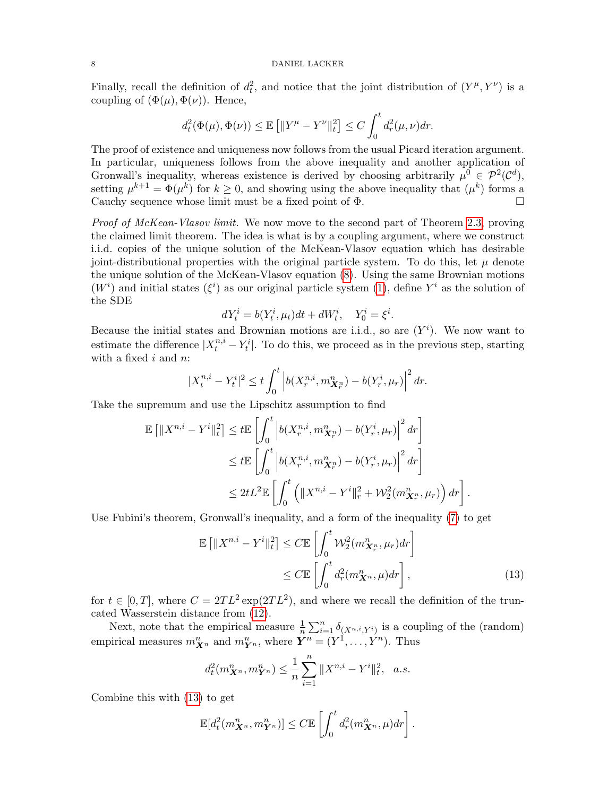Finally, recall the definition of  $d_t^2$ , and notice that the joint distribution of  $(Y^{\mu}, Y^{\nu})$  is a coupling of  $(\Phi(\mu), \Phi(\nu))$ . Hence,

$$
d_t^2(\Phi(\mu), \Phi(\nu)) \le \mathbb{E}\left[\|Y^{\mu} - Y^{\nu}\|_t^2\right] \le C \int_0^t d_r^2(\mu, \nu) dr.
$$

The proof of existence and uniqueness now follows from the usual Picard iteration argument. In particular, uniqueness follows from the above inequality and another application of Gronwall's inequality, whereas existence is derived by choosing arbitrarily  $\mu^0 \in \mathcal{P}^2(\mathcal{C}^d)$ , setting  $\mu^{k+1} = \Phi(\mu^k)$  for  $k \geq 0$ , and showing using the above inequality that  $(\mu^k)$  forms a Cauchy sequence whose limit must be a fixed point of Φ.

Proof of McKean-Vlasov limit. We now move to the second part of Theorem [2.3,](#page-5-2) proving the claimed limit theorem. The idea is what is by a coupling argument, where we construct i.i.d. copies of the unique solution of the McKean-Vlasov equation which has desirable joint-distributional properties with the original particle system. To do this, let  $\mu$  denote the unique solution of the McKean-Vlasov equation [\(8\)](#page-5-0). Using the same Brownian motions  $(W<sup>i</sup>)$  and initial states  $(\xi<sup>i</sup>)$  as our original particle system [\(1\)](#page-1-3), define  $Y<sup>i</sup>$  as the solution of the SDE

$$
dY_t^i = b(Y_t^i, \mu_t)dt + dW_t^i, \quad Y_0^i = \xi^i.
$$

Because the initial states and Brownian motions are i.i.d., so are  $(Y<sup>i</sup>)$ . We now want to estimate the difference  $|X_t^{n,i} - Y_t^i|$ . To do this, we proceed as in the previous step, starting with a fixed  $i$  and  $n$ :

$$
|X_t^{n,i} - Y_t^i|^2 \le t \int_0^t \left| b(X_r^{n,i}, m_{\boldsymbol{X}_r^n}^n) - b(Y_r^i, \mu_r) \right|^2 dr.
$$

Take the supremum and use the Lipschitz assumption to find

$$
\mathbb{E} \left[ \|X^{n,i} - Y^i\|_t^2 \right] \leq t \mathbb{E} \left[ \int_0^t \left| b(X_r^{n,i}, m_{\mathbf{X}_r^n}^n) - b(Y_r^i, \mu_r) \right|^2 dr \right]
$$
  
\n
$$
\leq t \mathbb{E} \left[ \int_0^t \left| b(X_r^{n,i}, m_{\mathbf{X}_r^n}^n) - b(Y_r^i, \mu_r) \right|^2 dr \right]
$$
  
\n
$$
\leq 2t L^2 \mathbb{E} \left[ \int_0^t \left( \|X^{n,i} - Y^i\|_r^2 + \mathcal{W}_2^2(m_{\mathbf{X}_r^n}^n, \mu_r) \right) dr \right]
$$

Use Fubini's theorem, Gronwall's inequality, and a form of the inequality [\(7\)](#page-4-0) to get

$$
\mathbb{E}\left[\|X^{n,i} - Y^i\|_t^2\right] \le C \mathbb{E}\left[\int_0^t \mathcal{W}_2^2(m_{\mathbf{X}_r^n}^n, \mu_r) dr\right] \le C \mathbb{E}\left[\int_0^t d_r^2(m_{\mathbf{X}^n}^n, \mu) dr\right],\tag{13}
$$

<span id="page-7-0"></span>.

for  $t \in [0, T]$ , where  $C = 2TL^2 \exp(2TL^2)$ , and where we recall the definition of the truncated Wasserstein distance from [\(12\)](#page-6-0).

Next, note that the empirical measure  $\frac{1}{n} \sum_{i=1}^{n} \delta_{(X^{n,i},Y^i)}$  is a coupling of the (random) empirical measures  $m_{\boldsymbol{X}^n}^n$  and  $m_{\boldsymbol{Y}^n}^n$ , where  $\boldsymbol{Y}^n = (Y^1, \ldots, Y^n)$ . Thus

$$
d_t^2(m_{\mathbf{X}^n}^n, m_{\mathbf{Y}^n}^n) \le \frac{1}{n} \sum_{i=1}^n \|X^{n,i} - Y^i\|_t^2, \quad a.s.
$$

Combine this with [\(13\)](#page-7-0) to get

$$
\mathbb{E}[d_t^2(m_{\boldsymbol{X}^n}^n, m_{\boldsymbol{Y}^n}^n)] \leq C \mathbb{E}\left[\int_0^t d_r^2(m_{\boldsymbol{X}^n}^n, \mu) dr\right].
$$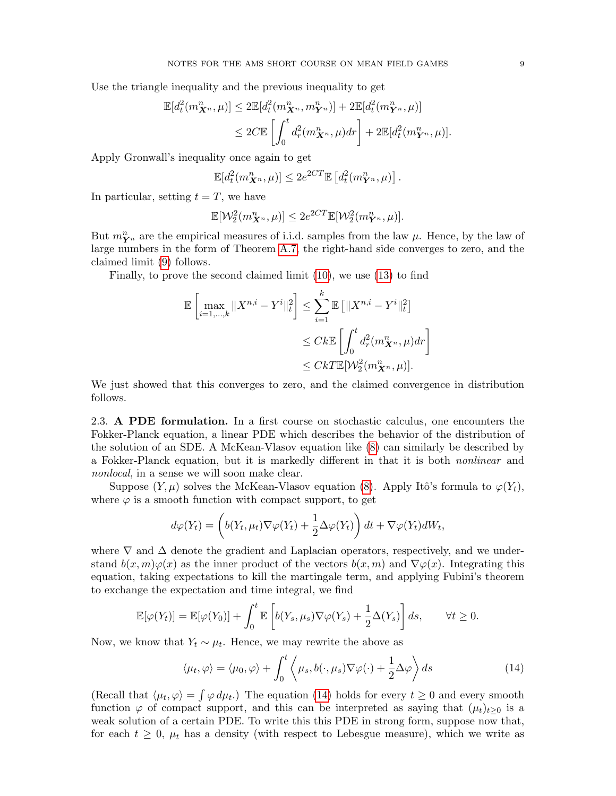Use the triangle inequality and the previous inequality to get

$$
\mathbb{E}[d_t^2(m_{\mathbf{X}^n}^n,\mu)] \le 2\mathbb{E}[d_t^2(m_{\mathbf{X}^n}^n,m_{\mathbf{Y}^n}^n)] + 2\mathbb{E}[d_t^2(m_{\mathbf{Y}^n}^n,\mu)]
$$
  

$$
\le 2C\mathbb{E}\left[\int_0^t d_r^2(m_{\mathbf{X}^n}^n,\mu)dr\right] + 2\mathbb{E}[d_t^2(m_{\mathbf{Y}^n}^n,\mu)].
$$

Apply Gronwall's inequality once again to get

$$
\mathbb{E}[d_t^2(m_{\mathbf{X}^n}^n,\mu)] \leq 2e^{2CT}\mathbb{E}[d_t^2(m_{\mathbf{Y}^n}^n,\mu)].
$$

In particular, setting  $t = T$ , we have

$$
\mathbb{E}[\mathcal{W}_2^2(m_{\mathbf{X}^n}^n,\mu)] \le 2e^{2CT}\mathbb{E}[\mathcal{W}_2^2(m_{\mathbf{Y}^n}^n,\mu)].
$$

But  $m_{\mathbf{Y}^n}^n$  are the empirical measures of i.i.d. samples from the law  $\mu$ . Hence, by the law of large numbers in the form of Theorem [A.7,](#page-24-3) the right-hand side converges to zero, and the claimed limit [\(9\)](#page-5-4) follows.

Finally, to prove the second claimed limit [\(10\)](#page-5-1), we use [\(13\)](#page-7-0) to find

$$
\mathbb{E}\left[\max_{i=1,\ldots,k} \|X^{n,i} - Y^i\|_t^2\right] \le \sum_{i=1}^k \mathbb{E}\left[\|X^{n,i} - Y^i\|_t^2\right]
$$
  

$$
\le Ck \mathbb{E}\left[\int_0^t d_r^2(m_{\mathbf{X}^n}^n, \mu) dr\right]
$$
  

$$
\le Ck \mathbb{E}[W_2^2(m_{\mathbf{X}^n}^n, \mu)].
$$

We just showed that this converges to zero, and the claimed convergence in distribution follows.

<span id="page-8-0"></span>2.3. A PDE formulation. In a first course on stochastic calculus, one encounters the Fokker-Planck equation, a linear PDE which describes the behavior of the distribution of the solution of an SDE. A McKean-Vlasov equation like [\(8\)](#page-5-0) can similarly be described by a Fokker-Planck equation, but it is markedly different in that it is both nonlinear and nonlocal, in a sense we will soon make clear.

Suppose  $(Y, \mu)$  solves the McKean-Vlasov equation [\(8\)](#page-5-0). Apply Itô's formula to  $\varphi(Y_t)$ , where  $\varphi$  is a smooth function with compact support, to get

$$
d\varphi(Y_t) = \left(b(Y_t, \mu_t)\nabla\varphi(Y_t) + \frac{1}{2}\Delta\varphi(Y_t)\right)dt + \nabla\varphi(Y_t)dW_t,
$$

where  $\nabla$  and  $\Delta$  denote the gradient and Laplacian operators, respectively, and we understand  $b(x, m)\varphi(x)$  as the inner product of the vectors  $b(x, m)$  and  $\nabla \varphi(x)$ . Integrating this equation, taking expectations to kill the martingale term, and applying Fubini's theorem to exchange the expectation and time integral, we find

$$
\mathbb{E}[\varphi(Y_t)] = \mathbb{E}[\varphi(Y_0)] + \int_0^t \mathbb{E}\left[b(Y_s, \mu_s)\nabla\varphi(Y_s) + \frac{1}{2}\Delta(Y_s)\right]ds, \qquad \forall t \ge 0.
$$

Now, we know that  $Y_t \sim \mu_t$ . Hence, we may rewrite the above as

<span id="page-8-1"></span>
$$
\langle \mu_t, \varphi \rangle = \langle \mu_0, \varphi \rangle + \int_0^t \left\langle \mu_s, b(\cdot, \mu_s) \nabla \varphi(\cdot) + \frac{1}{2} \Delta \varphi \right\rangle ds \tag{14}
$$

(Recall that  $\langle \mu_t, \varphi \rangle = \int \varphi \, d\mu_t$ .) The equation [\(14\)](#page-8-1) holds for every  $t \geq 0$  and every smooth function  $\varphi$  of compact support, and this can be interpreted as saying that  $(\mu_t)_{t>0}$  is a weak solution of a certain PDE. To write this this PDE in strong form, suppose now that, for each  $t \geq 0$ ,  $\mu_t$  has a density (with respect to Lebesgue measure), which we write as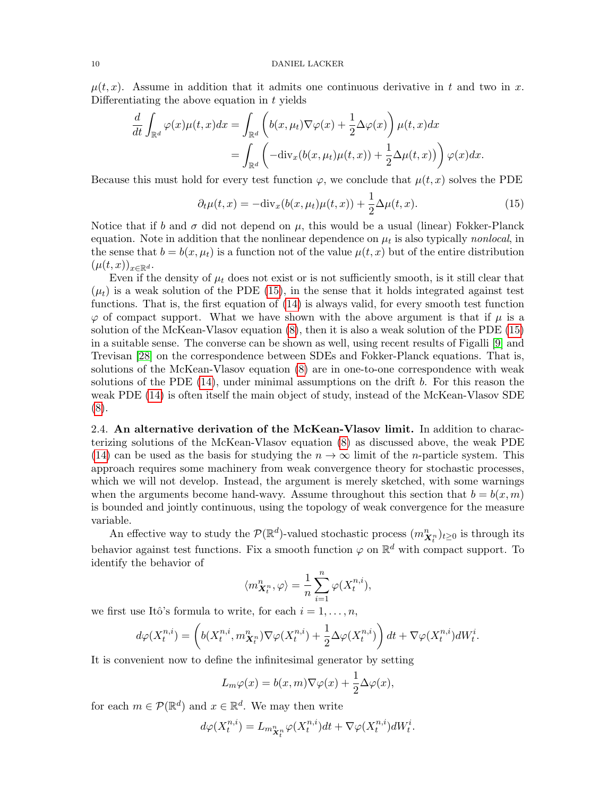$\mu(t, x)$ . Assume in addition that it admits one continuous derivative in t and two in x. Differentiating the above equation in  $t$  yields

$$
\frac{d}{dt} \int_{\mathbb{R}^d} \varphi(x) \mu(t, x) dx = \int_{\mathbb{R}^d} \left( b(x, \mu_t) \nabla \varphi(x) + \frac{1}{2} \Delta \varphi(x) \right) \mu(t, x) dx
$$

$$
= \int_{\mathbb{R}^d} \left( -\text{div}_x(b(x, \mu_t) \mu(t, x)) + \frac{1}{2} \Delta \mu(t, x) \right) \varphi(x) dx.
$$

Because this must hold for every test function  $\varphi$ , we conclude that  $\mu(t, x)$  solves the PDE

<span id="page-9-1"></span>
$$
\partial_t \mu(t, x) = -\text{div}_x(b(x, \mu_t)\mu(t, x)) + \frac{1}{2}\Delta \mu(t, x). \tag{15}
$$

Notice that if b and  $\sigma$  did not depend on  $\mu$ , this would be a usual (linear) Fokker-Planck equation. Note in addition that the nonlinear dependence on  $\mu_t$  is also typically *nonlocal*, in the sense that  $b = b(x, \mu_t)$  is a function not of the value  $\mu(t, x)$  but of the entire distribution  $(\mu(t,x))_{x\in\mathbb{R}^d}.$ 

Even if the density of  $\mu_t$  does not exist or is not sufficiently smooth, is it still clear that  $(\mu_t)$  is a weak solution of the PDE [\(15\)](#page-9-1), in the sense that it holds integrated against test functions. That is, the first equation of [\(14\)](#page-8-1) is always valid, for every smooth test function  $\varphi$  of compact support. What we have shown with the above argument is that if  $\mu$  is a solution of the McKean-Vlasov equation [\(8\)](#page-5-0), then it is also a weak solution of the PDE [\(15\)](#page-9-1) in a suitable sense. The converse can be shown as well, using recent results of Figalli [\[9\]](#page-28-10) and Trevisan [\[28\]](#page-28-11) on the correspondence between SDEs and Fokker-Planck equations. That is, solutions of the McKean-Vlasov equation [\(8\)](#page-5-0) are in one-to-one correspondence with weak solutions of the PDE  $(14)$ , under minimal assumptions on the drift b. For this reason the weak PDE [\(14\)](#page-8-1) is often itself the main object of study, instead of the McKean-Vlasov SDE [\(8\)](#page-5-0).

<span id="page-9-0"></span>2.4. An alternative derivation of the McKean-Vlasov limit. In addition to characterizing solutions of the McKean-Vlasov equation [\(8\)](#page-5-0) as discussed above, the weak PDE [\(14\)](#page-8-1) can be used as the basis for studying the  $n \to \infty$  limit of the *n*-particle system. This approach requires some machinery from weak convergence theory for stochastic processes, which we will not develop. Instead, the argument is merely sketched, with some warnings when the arguments become hand-wavy. Assume throughout this section that  $b = b(x, m)$ is bounded and jointly continuous, using the topology of weak convergence for the measure variable.

An effective way to study the  $\mathcal{P}(\mathbb{R}^d)$ -valued stochastic process  $(m_{\boldsymbol{X}_t^n}^n)_{t\geq 0}$  is through its behavior against test functions. Fix a smooth function  $\varphi$  on  $\mathbb{R}^d$  with compact support. To identify the behavior of

$$
\langle m_{\boldsymbol{X}^n_t}^n, \varphi \rangle = \frac{1}{n} \sum_{i=1}^n \varphi(X^{n,i}_t),
$$

we first use Itô's formula to write, for each  $i = 1, \ldots, n$ ,

$$
d\varphi(X_t^{n,i}) = \left(b(X_t^{n,i}, m_{\boldsymbol{X}_t^n}^n)\nabla\varphi(X_t^{n,i}) + \frac{1}{2}\Delta\varphi(X_t^{n,i})\right)dt + \nabla\varphi(X_t^{n,i})dW_t^i.
$$

It is convenient now to define the infinitesimal generator by setting

$$
L_m \varphi(x) = b(x, m) \nabla \varphi(x) + \frac{1}{2} \Delta \varphi(x),
$$

for each  $m \in \mathcal{P}(\mathbb{R}^d)$  and  $x \in \mathbb{R}^d$ . We may then write

$$
d\varphi(X_t^{n,i}) = L_{m_{\boldsymbol{X}_t^n}^n} \varphi(X_t^{n,i}) dt + \nabla \varphi(X_t^{n,i}) dW_t^i.
$$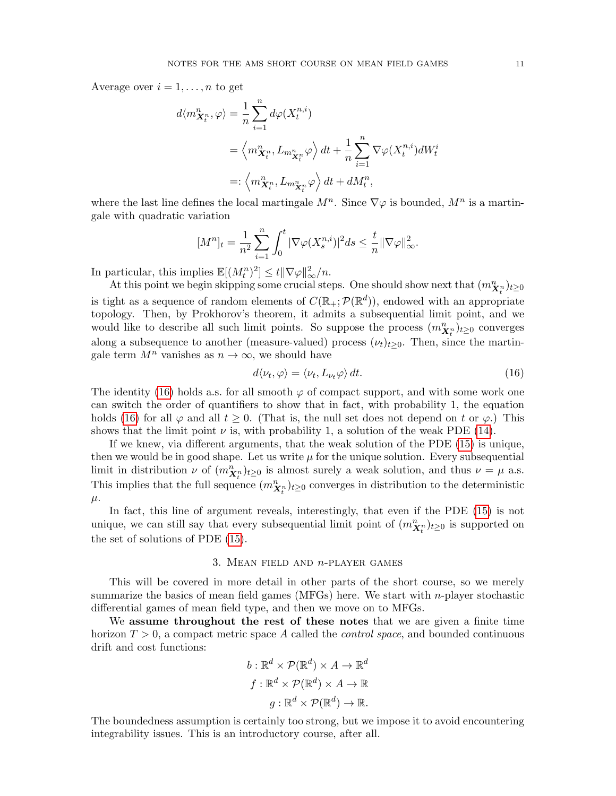Average over  $i = 1, \ldots, n$  to get

$$
d\langle m_{\mathbf{X}_t^n}^n, \varphi \rangle = \frac{1}{n} \sum_{i=1}^n d\varphi(X_t^{n,i})
$$
  
=  $\langle m_{\mathbf{X}_t^n}^n, L_{m_{\mathbf{X}_t^n}^n} \varphi \rangle dt + \frac{1}{n} \sum_{i=1}^n \nabla \varphi(X_t^{n,i}) dW_t^i$   
=:  $\langle m_{\mathbf{X}_t^n}^n, L_{m_{\mathbf{X}_t^n}^n} \varphi \rangle dt + dM_t^n$ ,

where the last line defines the local martingale  $M^n$ . Since  $\nabla \varphi$  is bounded,  $M^n$  is a martingale with quadratic variation

$$
[M^n]_t=\frac{1}{n^2}\sum_{i=1}^n\int_0^t|\nabla\varphi(X_s^{n,i})|^2ds\leq \frac{t}{n}\|\nabla\varphi\|_\infty^2.
$$

In particular, this implies  $\mathbb{E}[(M_t^n)^2] \leq t \|\nabla \varphi\|_{\infty}^2/n$ .

At this point we begin skipping some crucial steps. One should show next that  $(m_{\mathbf{X}_t^n}^n)_{t\geq 0}$ is tight as a sequence of random elements of  $C(\mathbb{R}_+;\mathcal{P}(\mathbb{R}^d))$ , endowed with an appropriate topology. Then, by Prokhorov's theorem, it admits a subsequential limit point, and we would like to describe all such limit points. So suppose the process  $(m_{\mathbf{X}_t^n}^n)_{t\geq 0}$  converges along a subsequence to another (measure-valued) process  $(\nu_t)_{t\geq0}$ . Then, since the martingale term  $M^n$  vanishes as  $n \to \infty$ , we should have

<span id="page-10-1"></span>
$$
d\langle \nu_t, \varphi \rangle = \langle \nu_t, L_{\nu_t} \varphi \rangle dt. \tag{16}
$$

The identity [\(16\)](#page-10-1) holds a.s. for all smooth  $\varphi$  of compact support, and with some work one can switch the order of quantifiers to show that in fact, with probability 1, the equation holds [\(16\)](#page-10-1) for all  $\varphi$  and all  $t \geq 0$ . (That is, the null set does not depend on t or  $\varphi$ .) This shows that the limit point  $\nu$  is, with probability 1, a solution of the weak PDE [\(14\)](#page-8-1).

If we knew, via different arguments, that the weak solution of the PDE [\(15\)](#page-9-1) is unique, then we would be in good shape. Let us write  $\mu$  for the unique solution. Every subsequential limit in distribution  $\nu$  of  $(m_{\boldsymbol{X}_t^n}^n)_{t\geq 0}$  is almost surely a weak solution, and thus  $\nu = \mu$  a.s. This implies that the full sequence  $(m_{\boldsymbol{X}_t^n}^n)_{t\geq 0}$  converges in distribution to the deterministic  $\mu$ .

In fact, this line of argument reveals, interestingly, that even if the PDE [\(15\)](#page-9-1) is not unique, we can still say that every subsequential limit point of  $(m_{\boldsymbol{X}_t^n}^n)_{t\geq 0}$  is supported on the set of solutions of PDE [\(15\)](#page-9-1).

# 3. MEAN FIELD AND  $n$ -PLAYER GAMES

<span id="page-10-0"></span>This will be covered in more detail in other parts of the short course, so we merely summarize the basics of mean field games (MFGs) here. We start with  $n$ -player stochastic differential games of mean field type, and then we move on to MFGs.

We assume throughout the rest of these notes that we are given a finite time horizon  $T > 0$ , a compact metric space A called the *control space*, and bounded continuous drift and cost functions:

$$
b: \mathbb{R}^d \times \mathcal{P}(\mathbb{R}^d) \times A \to \mathbb{R}^d
$$

$$
f: \mathbb{R}^d \times \mathcal{P}(\mathbb{R}^d) \times A \to \mathbb{R}
$$

$$
g: \mathbb{R}^d \times \mathcal{P}(\mathbb{R}^d) \to \mathbb{R}.
$$

The boundedness assumption is certainly too strong, but we impose it to avoid encountering integrability issues. This is an introductory course, after all.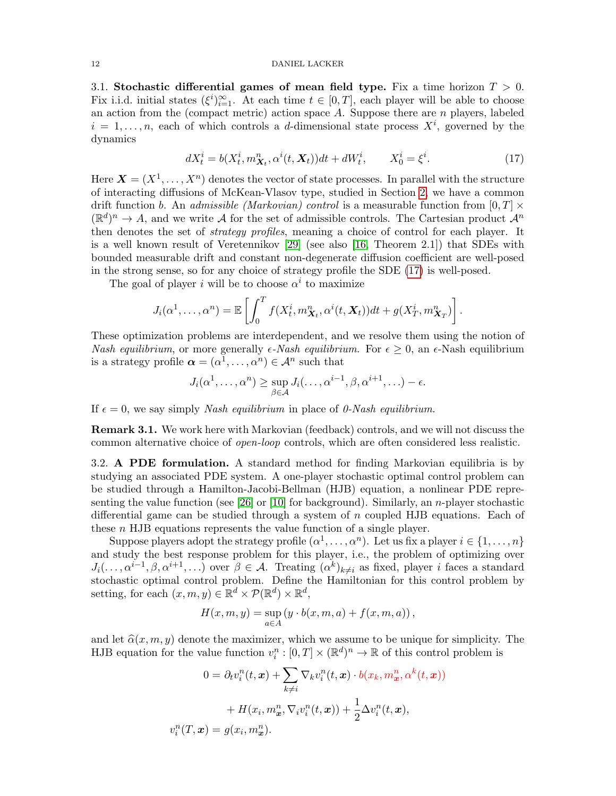#### 12 DANIEL LACKER

<span id="page-11-0"></span>3.1. Stochastic differential games of mean field type. Fix a time horizon  $T > 0$ . Fix i.i.d. initial states  $(\xi^i)_{i=1}^{\infty}$ . At each time  $t \in [0,T]$ , each player will be able to choose an action from the (compact metric) action space  $A$ . Suppose there are  $n$  players, labeled  $i = 1, \ldots, n$ , each of which controls a d-dimensional state process  $X^i$ , governed by the dynamics

<span id="page-11-2"></span>
$$
dX_t^i = b(X_t^i, m_{X_t}^n, \alpha^i(t, X_t))dt + dW_t^i, \qquad X_0^i = \xi^i.
$$
 (17)

Here  $\mathbf{X} = (X^1, \ldots, X^n)$  denotes the vector of state processes. In parallel with the structure of interacting diffusions of McKean-Vlasov type, studied in Section [2,](#page-1-1) we have a common drift function b. An *admissible (Markovian) control* is a measurable function from  $[0, T] \times$  $(\mathbb{R}^d)^n \to A$ , and we write A for the set of admissible controls. The Cartesian product  $\mathcal{A}^n$ then denotes the set of strategy profiles, meaning a choice of control for each player. It is a well known result of Veretennikov [\[29\]](#page-28-12) (see also [\[16,](#page-28-13) Theorem 2.1]) that SDEs with bounded measurable drift and constant non-degenerate diffusion coefficient are well-posed in the strong sense, so for any choice of strategy profile the SDE [\(17\)](#page-11-2) is well-posed.

The goal of player i will be to choose  $\alpha^i$  to maximize

$$
J_i(\alpha^1,\ldots,\alpha^n) = \mathbb{E}\left[\int_0^T f(X_t^i, m_{\boldsymbol{X}_t}^n, \alpha^i(t, \boldsymbol{X}_t))dt + g(X_T^i, m_{\boldsymbol{X}_T}^n)\right].
$$

These optimization problems are interdependent, and we resolve them using the notion of Nash equilibrium, or more generally  $\epsilon$ -Nash equilibrium. For  $\epsilon \geq 0$ , an  $\epsilon$ -Nash equilibrium is a strategy profile  $\boldsymbol{\alpha} = (\alpha^1, \dots, \alpha^n) \in \mathcal{A}^n$  such that

$$
J_i(\alpha^1,\ldots,\alpha^n) \geq \sup_{\beta \in \mathcal{A}} J_i(\ldots,\alpha^{i-1},\beta,\alpha^{i+1},\ldots) - \epsilon.
$$

If  $\epsilon = 0$ , we say simply *Nash equilibrium* in place of *0-Nash equilibrium*.

Remark 3.1. We work here with Markovian (feedback) controls, and we will not discuss the common alternative choice of open-loop controls, which are often considered less realistic.

<span id="page-11-1"></span>3.2. A PDE formulation. A standard method for finding Markovian equilibria is by studying an associated PDE system. A one-player stochastic optimal control problem can be studied through a Hamilton-Jacobi-Bellman (HJB) equation, a nonlinear PDE repre-senting the value function (see [\[26\]](#page-28-6) or [\[10\]](#page-28-7) for background). Similarly, an *n*-player stochastic differential game can be studied through a system of n coupled HJB equations. Each of these  $n$  HJB equations represents the value function of a single player.

Suppose players adopt the strategy profile  $(\alpha^1, \ldots, \alpha^n)$ . Let us fix a player  $i \in \{1, \ldots, n\}$ and study the best response problem for this player, i.e., the problem of optimizing over  $J_i(\ldots, \alpha^{i-1}, \beta, \alpha^{i+1}, \ldots)$  over  $\beta \in \mathcal{A}$ . Treating  $(\alpha^k)_{k \neq i}$  as fixed, player *i* faces a standard stochastic optimal control problem. Define the Hamiltonian for this control problem by setting, for each  $(x, m, y) \in \mathbb{R}^d \times \mathcal{P}(\mathbb{R}^d) \times \mathbb{R}^d$ ,

$$
H(x, m, y) = \sup_{a \in A} (y \cdot b(x, m, a) + f(x, m, a)),
$$

and let  $\hat{\alpha}(x, m, y)$  denote the maximizer, which we assume to be unique for simplicity. The HJB equation for the value function  $v_i^n : [0, T] \times (\mathbb{R}^d)^n \to \mathbb{R}$  of this control problem is

$$
0 = \partial_t v_i^n(t, \mathbf{x}) + \sum_{k \neq i} \nabla_k v_i^n(t, \mathbf{x}) \cdot b(x_k, m_{\mathbf{x}}^n, \alpha^k(t, \mathbf{x}))
$$

$$
+ H(x_i, m_{\mathbf{x}}^n, \nabla_i v_i^n(t, \mathbf{x})) + \frac{1}{2} \Delta v_i^n(t, \mathbf{x}),
$$

$$
v_i^n(T, \mathbf{x}) = g(x_i, m_{\mathbf{x}}^n).
$$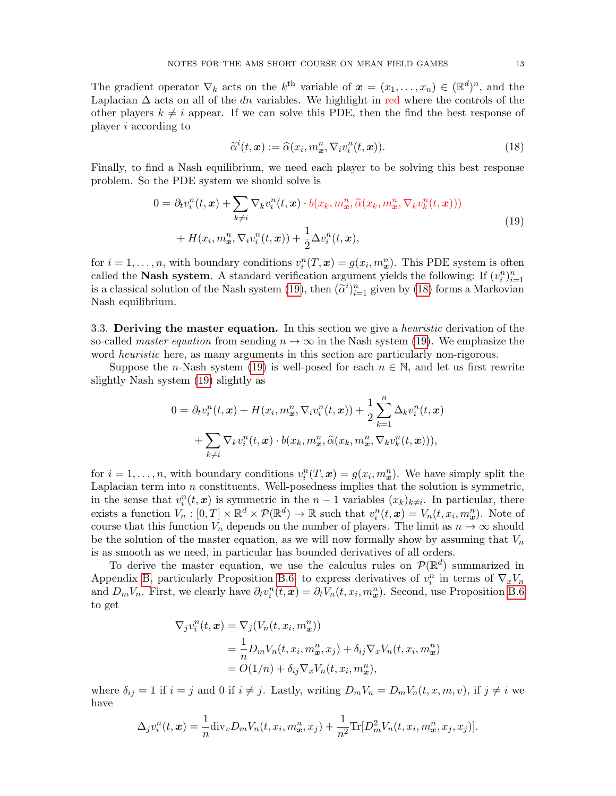The gradient operator  $\nabla_k$  acts on the  $k^{\text{th}}$  variable of  $\boldsymbol{x} = (x_1, \ldots, x_n) \in (\mathbb{R}^d)^n$ , and the Laplacian  $\Delta$  acts on all of the dn variables. We highlight in red where the controls of the other players  $k \neq i$  appear. If we can solve this PDE, then the find the best response of player i according to

<span id="page-12-2"></span><span id="page-12-1"></span>
$$
\widetilde{\alpha}^i(t,\mathbf{x}) := \widehat{\alpha}(x_i, m_{\mathbf{x}}^n, \nabla_i v_i^n(t,\mathbf{x})). \tag{18}
$$

Finally, to find a Nash equilibrium, we need each player to be solving this best response problem. So the PDE system we should solve is

$$
0 = \partial_t v_i^n(t, \mathbf{x}) + \sum_{k \neq i} \nabla_k v_i^n(t, \mathbf{x}) \cdot b(x_k, m_{\mathbf{x}}^n, \widehat{\alpha}(x_k, m_{\mathbf{x}}^n, \nabla_k v_k^n(t, \mathbf{x}))) + H(x_i, m_{\mathbf{x}}^n, \nabla_i v_i^n(t, \mathbf{x})) + \frac{1}{2} \Delta v_i^n(t, \mathbf{x}),
$$
\n(19)

for  $i = 1, ..., n$ , with boundary conditions  $v_i^n(T, x) = g(x_i, m_x^n)$ . This PDE system is often called the **Nash system**. A standard verification argument yields the following: If  $(v_i^n)_{i=1}^n$ is a classical solution of the Nash system [\(19\)](#page-12-1), then  $(\tilde{\alpha}^i)_{i=1}^n$  given by [\(18\)](#page-12-2) forms a Markovian Nash coullibrium Nash equilibrium.

<span id="page-12-0"></span>3.3. Deriving the master equation. In this section we give a *heuristic* derivation of the so-called *master equation* from sending  $n \to \infty$  in the Nash system [\(19\)](#page-12-1). We emphasize the word *heuristic* here, as many arguments in this section are particularly non-rigorous.

Suppose the n-Nash system [\(19\)](#page-12-1) is well-posed for each  $n \in \mathbb{N}$ , and let us first rewrite slightly Nash system [\(19\)](#page-12-1) slightly as

$$
0 = \partial_t v_i^n(t, \mathbf{x}) + H(x_i, m_\mathbf{x}^n, \nabla_i v_i^n(t, \mathbf{x})) + \frac{1}{2} \sum_{k=1}^n \Delta_k v_i^n(t, \mathbf{x})
$$

$$
+ \sum_{k \neq i} \nabla_k v_i^n(t, \mathbf{x}) \cdot b(x_k, m_\mathbf{x}^n, \widehat{\alpha}(x_k, m_\mathbf{x}^n, \nabla_k v_k^n(t, \mathbf{x}))),
$$

for  $i = 1, \ldots, n$ , with boundary conditions  $v_i^n(T, x) = g(x_i, m_x^n)$ . We have simply split the Laplacian term into n constituents. Well-posedness implies that the solution is symmetric, in the sense that  $v_i^n(t, x)$  is symmetric in the  $n-1$  variables  $(x_k)_{k\neq i}$ . In particular, there exists a function  $V_n : [0, T] \times \mathbb{R}^d \times \mathcal{P}(\mathbb{R}^d) \to \mathbb{R}$  such that  $v_i^n(t, x) = V_n(t, x_i, m_x^n)$ . Note of course that this function  $V_n$  depends on the number of players. The limit as  $n \to \infty$  should be the solution of the master equation, as we will now formally show by assuming that  $V_n$ is as smooth as we need, in particular has bounded derivatives of all orders.

To derive the master equation, we use the calculus rules on  $\mathcal{P}(\mathbb{R}^d)$  summarized in Appendix [B,](#page-25-0) particularly Proposition [B.6,](#page-26-0) to express derivatives of  $v_i^n$  in terms of  $\nabla_x V_n$ and  $D_m V_n$ . First, we clearly have  $\partial_t v_i^n(t, x) = \partial_t V_n(t, x_i, m_x^n)$ . Second, use Proposition [B.6](#page-26-0) to get

$$
\nabla_j v_i^n(t, \mathbf{x}) = \nabla_j (V_n(t, x_i, m_{\mathbf{x}}^n))
$$
  
=  $\frac{1}{n} D_m V_n(t, x_i, m_{\mathbf{x}}^n, x_j) + \delta_{ij} \nabla_{\mathbf{x}} V_n(t, x_i, m_{\mathbf{x}}^n)$   
=  $O(1/n) + \delta_{ij} \nabla_{\mathbf{x}} V_n(t, x_i, m_{\mathbf{x}}^n),$ 

where  $\delta_{ij} = 1$  if  $i = j$  and 0 if  $i \neq j$ . Lastly, writing  $D_m V_n = D_m V_n(t, x, m, v)$ , if  $j \neq i$  we have

$$
\Delta_j v_i^n(t, \mathbf{x}) = \frac{1}{n} \text{div}_v D_m V_n(t, x_i, m_\mathbf{x}^n, x_j) + \frac{1}{n^2} \text{Tr}[D_m^2 V_n(t, x_i, m_\mathbf{x}^n, x_j, x_j)].
$$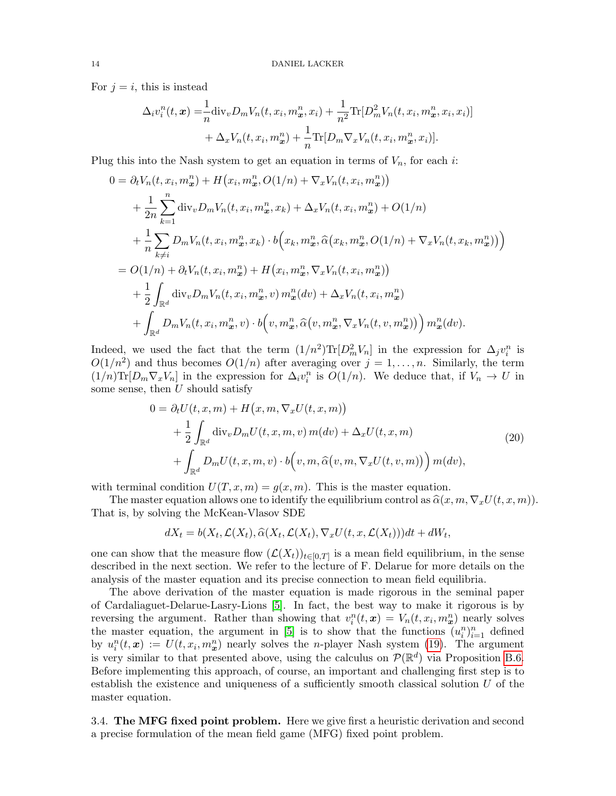For  $j = i$ , this is instead

$$
\Delta_i v_i^n(t, \mathbf{x}) = \frac{1}{n} \text{div}_v D_m V_n(t, x_i, m_\mathbf{x}^n, x_i) + \frac{1}{n^2} \text{Tr}[D_m^2 V_n(t, x_i, m_\mathbf{x}^n, x_i, x_i)] + \Delta_x V_n(t, x_i, m_\mathbf{x}^n) + \frac{1}{n} \text{Tr}[D_m \nabla_x V_n(t, x_i, m_\mathbf{x}^n, x_i)].
$$

Plug this into the Nash system to get an equation in terms of  $V_n$ , for each i:

$$
0 = \partial_t V_n(t, x_i, m_x^n) + H(x_i, m_x^n, O(1/n) + \nabla_x V_n(t, x_i, m_x^n))
$$
  
+ 
$$
\frac{1}{2n} \sum_{k=1}^n \text{div}_v D_m V_n(t, x_i, m_x^n, x_k) + \Delta_x V_n(t, x_i, m_x^n) + O(1/n)
$$
  
+ 
$$
\frac{1}{n} \sum_{k \neq i} D_m V_n(t, x_i, m_x^n, x_k) \cdot b(x_k, m_x^n, \hat{\alpha}(x_k, m_x^n, O(1/n) + \nabla_x V_n(t, x_k, m_x^n)))
$$
  
= 
$$
O(1/n) + \partial_t V_n(t, x_i, m_x^n) + H(x_i, m_x^n, \nabla_x V_n(t, x_i, m_x^n))
$$
  
+ 
$$
\frac{1}{2} \int_{\mathbb{R}^d} \text{div}_v D_m V_n(t, x_i, m_x^n, v) m_x^n(dv) + \Delta_x V_n(t, x_i, m_x^n)
$$
  
+ 
$$
\int_{\mathbb{R}^d} D_m V_n(t, x_i, m_x^n, v) \cdot b(v, m_x^n, \hat{\alpha}(v, m_x^n, \nabla_x V_n(t, v, m_x^n))) m_x^n(dv).
$$

Indeed, we used the fact that the term  $(1/n^2) \text{Tr}[D_m^2 V_n]$  in the expression for  $\Delta_j v_i^n$  is  $O(1/n^2)$  and thus becomes  $O(1/n)$  after averaging over  $j = 1, ..., n$ . Similarly, the term  $(1/n)\text{Tr}[D_m\nabla_x V_n]$  in the expression for  $\Delta_i v_i^n$  is  $O(1/n)$ . We deduce that, if  $V_n \to U$  in some sense, then  $U$  should satisfy

$$
0 = \partial_t U(t, x, m) + H(x, m, \nabla_x U(t, x, m))
$$
  
+ 
$$
\frac{1}{2} \int_{\mathbb{R}^d} \text{div}_v D_m U(t, x, m, v) m(dv) + \Delta_x U(t, x, m)
$$
  
+ 
$$
\int_{\mathbb{R}^d} D_m U(t, x, m, v) \cdot b(v, m, \widehat{\alpha}(v, m, \nabla_x U(t, v, m))) m(dv),
$$
 (20)

with terminal condition  $U(T, x, m) = q(x, m)$ . This is the master equation.

The master equation allows one to identify the equilibrium control as  $\widehat{\alpha}(x, m, \nabla_x U(t, x, m))$ . That is, by solving the McKean-Vlasov SDE

$$
dX_t = b(X_t, \mathcal{L}(X_t), \widehat{\alpha}(X_t, \mathcal{L}(X_t), \nabla_x U(t, x, \mathcal{L}(X_t)))dt + dW_t,
$$

one can show that the measure flow  $(\mathcal{L}(X_t))_{t\in[0,T]}$  is a mean field equilibrium, in the sense described in the next section. We refer to the lecture of F. Delarue for more details on the analysis of the master equation and its precise connection to mean field equilibria.

The above derivation of the master equation is made rigorous in the seminal paper of Cardaliaguet-Delarue-Lasry-Lions [\[5\]](#page-28-14). In fact, the best way to make it rigorous is by reversing the argument. Rather than showing that  $v_i^n(t, x) = V_n(t, x_i, m_x^n)$  nearly solves the master equation, the argument in [\[5\]](#page-28-14) is to show that the functions  $(u_i^n)_{i=1}^n$  defined by  $u_i^n(t, x) := U(t, x_i, m_x^n)$  nearly solves the *n*-player Nash system [\(19\)](#page-12-1). The argument is very similar to that presented above, using the calculus on  $\mathcal{P}(\mathbb{R}^d)$  via Proposition [B.6.](#page-26-0) Before implementing this approach, of course, an important and challenging first step is to establish the existence and uniqueness of a sufficiently smooth classical solution  $U$  of the master equation.

<span id="page-13-0"></span>3.4. The MFG fixed point problem. Here we give first a heuristic derivation and second a precise formulation of the mean field game (MFG) fixed point problem.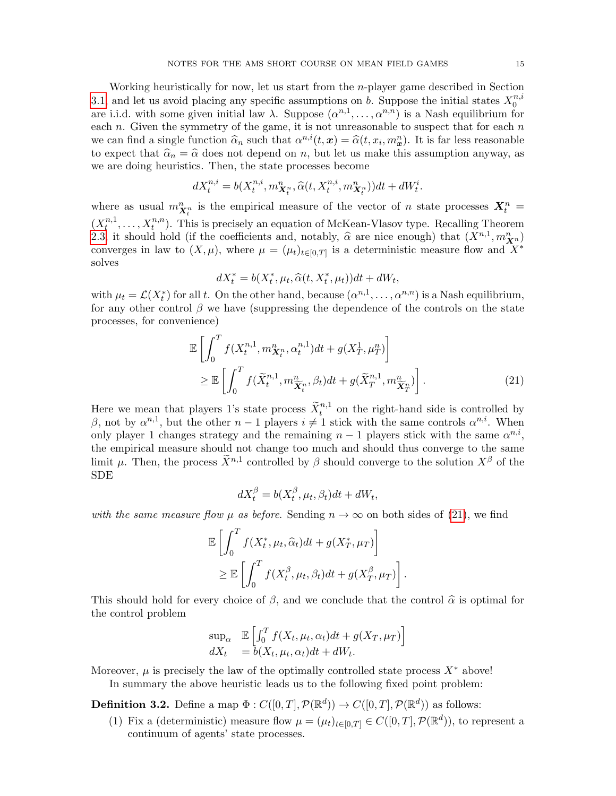Working heuristically for now, let us start from the n-player game described in Section [3.1,](#page-11-0) and let us avoid placing any specific assumptions on b. Suppose the initial states  $X_0^{n,i}$ 0 are i.i.d. with some given initial law  $\lambda$ . Suppose  $(\alpha^{n,1}, \ldots, \alpha^{n,n})$  is a Nash equilibrium for each  $n$ . Given the symmetry of the game, it is not unreasonable to suspect that for each  $n$ we can find a single function  $\hat{\alpha}_n$  such that  $\alpha^{n,i}(t, x) = \hat{\alpha}(t, x_i, m_x^n)$ . It is far less reasonable<br>to expect that  $\hat{\alpha} = \hat{\alpha}$  does not depend on n, but let us make this assumption anyway as to expect that  $\hat{\alpha}_n = \hat{\alpha}$  does not depend on n, but let us make this assumption anyway, as we are doing heuristics. Then, the state processes become

$$
dX_t^{n,i} = b(X_t^{n,i}, m_{\mathbf{X}_t^n}^n, \widehat{\alpha}(t, X_t^{n,i}, m_{\mathbf{X}_t^n}^n))dt + dW_t^i.
$$

where as usual  $m_{\mathbf{X}_t^n}^n$  is the empirical measure of the vector of n state processes  $\mathbf{X}_t^n =$  $(X_t^{n,1})$  $t^{n,1}, \ldots, X^{n,n}_t$ . This is precisely an equation of McKean-Vlasov type. Recalling Theorem [2.3,](#page-5-2) it should hold (if the coefficients and, notably,  $\hat{\alpha}$  are nice enough) that  $(X^{n,1}, m_{X^n}^n)$ <br>converges in law to  $(X, \mu)$ , where  $\mu = (\mu)$ ,  $\mu$ , is a deterministic measure flow and  $X^*$ converges in law to  $(X, \mu)$ , where  $\mu = (\mu_t)_{t \in [0,T]}$  is a deterministic measure flow and  $X^*$ solves

$$
dX_t^* = b(X_t^*, \mu_t, \widehat{\alpha}(t, X_t^*, \mu_t))dt + dW_t,
$$

with  $\mu_t = \mathcal{L}(X_t^*)$  for all t. On the other hand, because  $(\alpha^{n,1}, \ldots, \alpha^{n,n})$  is a Nash equilibrium, for any other control  $\beta$  we have (suppressing the dependence of the controls on the state processes, for convenience)

$$
\mathbb{E}\left[\int_0^T f(X_t^{n,1}, m_{\mathbf{X}_t^n}^n, \alpha_t^{n,1}) dt + g(X_T^1, \mu_T^n) \right] \geq \mathbb{E}\left[\int_0^T f(\widetilde{X}_t^{n,1}, m_{\widetilde{\mathbf{X}}_t^n}^n, \beta_t) dt + g(\widetilde{X}_T^{n,1}, m_{\widetilde{\mathbf{X}}_T^n}^n) \right].
$$
\n(21)

Here we mean that players 1's state process  $\tilde{X}^{n,1}_t$  on the right-hand side is controlled by β, not by  $\alpha^{n,1}$ , but the other  $n-1$  players  $i \neq 1$  stick with the same controls  $\alpha^{n,i}$ . When only player 1 changes strategy and the remaining  $n-1$  players stick with the same  $\alpha^{n,i}$ , the empirical measure should not change too much and should thus converge to the same limit  $\mu$ . Then, the process  $\tilde{X}^{n,1}$  controlled by  $\beta$  should converge to the solution  $X^{\beta}$  of the SDE

<span id="page-14-0"></span>
$$
dX_t^{\beta} = b(X_t^{\beta}, \mu_t, \beta_t)dt + dW_t,
$$

with the same measure flow  $\mu$  as before. Sending  $n \to \infty$  on both sides of [\(21\)](#page-14-0), we find

$$
\mathbb{E}\left[\int_0^T f(X_t^*, \mu_t, \widehat{\alpha}_t)dt + g(X_T^*, \mu_T)\right] \geq \mathbb{E}\left[\int_0^T f(X_t^{\beta}, \mu_t, \beta_t)dt + g(X_T^{\beta}, \mu_T)\right].
$$

This should hold for every choice of  $\beta$ , and we conclude that the control  $\hat{\alpha}$  is optimal for the control problem

$$
\sup_{\alpha} \mathbb{E}\left[\int_0^T f(X_t, \mu_t, \alpha_t)dt + g(X_T, \mu_T)\right]
$$
  

$$
dX_t = b(X_t, \mu_t, \alpha_t)dt + dW_t.
$$

Moreover,  $\mu$  is precisely the law of the optimally controlled state process  $X^*$  above! In summary the above heuristic leads us to the following fixed point problem:

<span id="page-14-1"></span>**Definition 3.2.** Define a map  $\Phi: C([0,T], \mathcal{P}(\mathbb{R}^d)) \to C([0,T], \mathcal{P}(\mathbb{R}^d))$  as follows:

(1) Fix a (deterministic) measure flow  $\mu = (\mu_t)_{t \in [0,T]} \in C([0,T], \mathcal{P}(\mathbb{R}^d))$ , to represent a continuum of agents' state processes.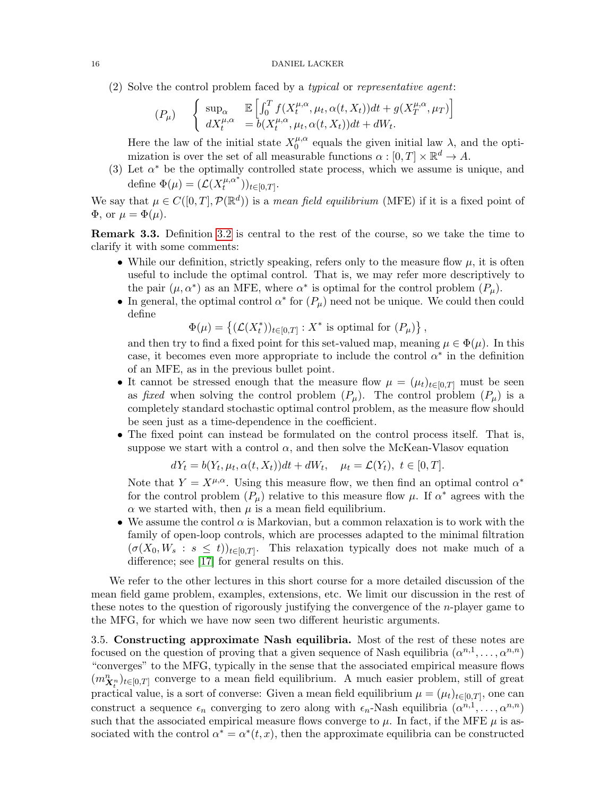(2) Solve the control problem faced by a typical or representative agent:

$$
(P_{\mu}) \quad \begin{cases} \sup_{\alpha} \quad \mathbb{E}\left[\int_0^T f(X_t^{\mu,\alpha}, \mu_t, \alpha(t, X_t))dt + g(X_T^{\mu,\alpha}, \mu_T)\right] \\ dX_t^{\mu,\alpha} \quad = b(X_t^{\mu,\alpha}, \mu_t, \alpha(t, X_t))dt + dW_t. \end{cases}
$$

Here the law of the initial state  $X_0^{\mu,\alpha}$  $\mu^{\mu,\alpha}_{0}$  equals the given initial law  $\lambda$ , and the optimization is over the set of all measurable functions  $\alpha : [0, T] \times \mathbb{R}^d \to A$ .

(3) Let  $\alpha^*$  be the optimally controlled state process, which we assume is unique, and define  $\Phi(\mu) = \overline{\mathcal{L}(X_t^{\mu,\alpha^*})}$  ${}_{t}^{\mu,\alpha}$  ))<sub>t∈[0,T]</sub>.

We say that  $\mu \in C([0,T], \mathcal{P}(\mathbb{R}^d))$  is a mean field equilibrium (MFE) if it is a fixed point of  $\Phi$ , or  $\mu = \Phi(\mu)$ .

Remark 3.3. Definition [3.2](#page-14-1) is central to the rest of the course, so we take the time to clarify it with some comments:

- While our definition, strictly speaking, refers only to the measure flow  $\mu$ , it is often useful to include the optimal control. That is, we may refer more descriptively to the pair  $(\mu, \alpha^*)$  as an MFE, where  $\alpha^*$  is optimal for the control problem  $(P_\mu)$ .
- In general, the optimal control  $\alpha^*$  for  $(P_\mu)$  need not be unique. We could then could define

 $\Phi(\mu) = \{ (\mathcal{L}(X_t^*))_{t \in [0,T]} : X^* \text{ is optimal for } (P_\mu) \},$ 

and then try to find a fixed point for this set-valued map, meaning  $\mu \in \Phi(\mu)$ . In this case, it becomes even more appropriate to include the control  $\alpha^*$  in the definition of an MFE, as in the previous bullet point.

- It cannot be stressed enough that the measure flow  $\mu = (\mu_t)_{t \in [0,T]}$  must be seen as fixed when solving the control problem  $(P_\mu)$ . The control problem  $(P_\mu)$  is a completely standard stochastic optimal control problem, as the measure flow should be seen just as a time-dependence in the coefficient.
- The fixed point can instead be formulated on the control process itself. That is, suppose we start with a control  $\alpha$ , and then solve the McKean-Vlasov equation

$$
dY_t = b(Y_t, \mu_t, \alpha(t, X_t))dt + dW_t, \quad \mu_t = \mathcal{L}(Y_t), \ t \in [0, T].
$$

Note that  $Y = X^{\mu,\alpha}$ . Using this measure flow, we then find an optimal control  $\alpha^*$ for the control problem  $(P_\mu)$  relative to this measure flow  $\mu$ . If  $\alpha^*$  agrees with the  $\alpha$  we started with, then  $\mu$  is a mean field equilibrium.

• We assume the control  $\alpha$  is Markovian, but a common relaxation is to work with the family of open-loop controls, which are processes adapted to the minimal filtration  $(\sigma(X_0, W_s : s \leq t))_{t \in [0,T]}$ . This relaxation typically does not make much of a difference; see [\[17\]](#page-28-15) for general results on this.

We refer to the other lectures in this short course for a more detailed discussion of the mean field game problem, examples, extensions, etc. We limit our discussion in the rest of these notes to the question of rigorously justifying the convergence of the  $n$ -player game to the MFG, for which we have now seen two different heuristic arguments.

<span id="page-15-0"></span>3.5. Constructing approximate Nash equilibria. Most of the rest of these notes are focused on the question of proving that a given sequence of Nash equilibria  $(\alpha^{n,1}, \ldots, \alpha^{n,n})$ "converges" to the MFG, typically in the sense that the associated empirical measure flows  $(m_{\boldsymbol{X}^n_t}^n)_{t\in[0,T]}$  converge to a mean field equilibrium. A much easier problem, still of great practical value, is a sort of converse: Given a mean field equilibrium  $\mu = (\mu_t)_{t \in [0,T]},$  one can construct a sequence  $\epsilon_n$  converging to zero along with  $\epsilon_n$ -Nash equilibria  $(\alpha^{n,1}, \ldots, \alpha^{n,n})$ such that the associated empirical measure flows converge to  $\mu$ . In fact, if the MFE  $\mu$  is associated with the control  $\alpha^* = \alpha^*(t, x)$ , then the approximate equilibria can be constructed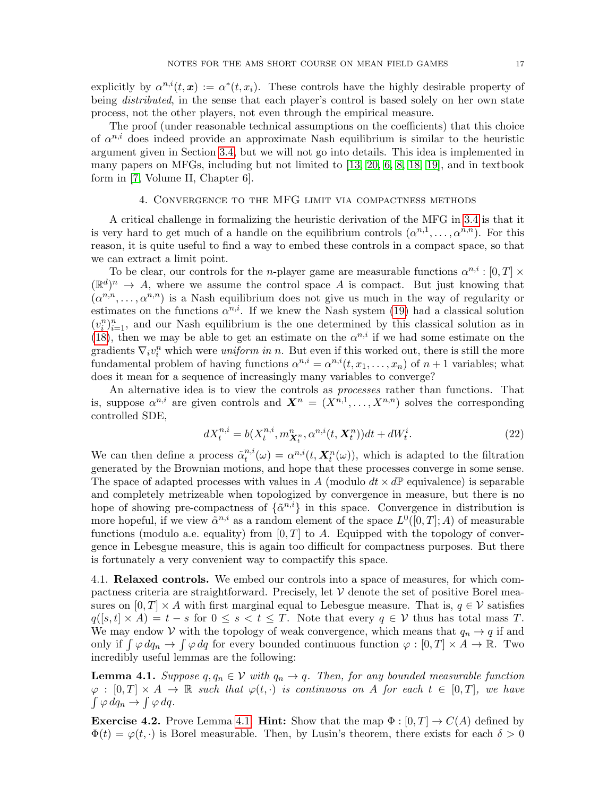explicitly by  $\alpha^{n,i}(t,\mathbf{x}) := \alpha^*(t,x_i)$ . These controls have the highly desirable property of being *distributed*, in the sense that each player's control is based solely on her own state process, not the other players, not even through the empirical measure.

The proof (under reasonable technical assumptions on the coefficients) that this choice of  $\alpha^{n,i}$  does indeed provide an approximate Nash equilibrium is similar to the heuristic argument given in Section [3.4,](#page-13-0) but we will not go into details. This idea is implemented in many papers on MFGs, including but not limited to [\[13,](#page-28-16) [20,](#page-28-17) [6,](#page-28-18) [8,](#page-28-19) [18,](#page-28-20) [19\]](#page-28-21), and in textbook form in [\[7,](#page-28-0) Volume II, Chapter 6].

## 4. Convergence to the MFG limit via compactness methods

<span id="page-16-0"></span>A critical challenge in formalizing the heuristic derivation of the MFG in [3.4](#page-13-0) is that it is very hard to get much of a handle on the equilibrium controls  $(\alpha^{n,1}, \ldots, \alpha^{n,n})$ . For this reason, it is quite useful to find a way to embed these controls in a compact space, so that we can extract a limit point.

To be clear, our controls for the *n*-player game are measurable functions  $\alpha^{n,i} : [0, T] \times$  $(\mathbb{R}^d)^n \to A$ , where we assume the control space A is compact. But just knowing that  $(\alpha^{n,n},\ldots,\alpha^{n,n})$  is a Nash equilibrium does not give us much in the way of regularity or estimates on the functions  $\alpha^{n,i}$ . If we knew the Nash system [\(19\)](#page-12-1) had a classical solution  $(v_i^n)_{i=1}^n$ , and our Nash equilibrium is the one determined by this classical solution as in [\(18\)](#page-12-2), then we may be able to get an estimate on the  $\alpha^{n,i}$  if we had some estimate on the gradients  $\nabla_i v_i^n$  which were *uniform in n*. But even if this worked out, there is still the more fundamental problem of having functions  $\alpha^{n,i} = \alpha^{n,i}(t, x_1, \dots, x_n)$  of  $n+1$  variables; what does it mean for a sequence of increasingly many variables to converge?

An alternative idea is to view the controls as processes rather than functions. That is, suppose  $\alpha^{n,i}$  are given controls and  $\mathbf{X}^n = (X^{n,1}, \ldots, X^{n,n})$  solves the corresponding controlled SDE,

$$
dX_t^{n,i} = b(X_t^{n,i}, m_{\mathbf{X}_t^n}^n, \alpha^{n,i}(t, \mathbf{X}_t^n))dt + dW_t^i.
$$
 (22)

We can then define a process  $\tilde{\alpha}_t^{n,i}$  $t^{n,i}_{t}(\omega) = \alpha^{n,i}(t, \mathbf{X}_{t}^{n}(\omega)),$  which is adapted to the filtration generated by the Brownian motions, and hope that these processes converge in some sense. The space of adapted processes with values in A (modulo  $dt \times d\mathbb{P}$  equivalence) is separable and completely metrizeable when topologized by convergence in measure, but there is no hope of showing pre-compactness of  $\{\tilde{\alpha}^{n,i}\}\$ in this space. Convergence in distribution is more hopeful, if we view  $\tilde{\alpha}^{n,i}$  as a random element of the space  $L^0([0,T];A)$  of measurable functions (modulo a.e. equality) from  $[0, T]$  to A. Equipped with the topology of convergence in Lebesgue measure, this is again too difficult for compactness purposes. But there is fortunately a very convenient way to compactify this space.

<span id="page-16-1"></span>4.1. Relaxed controls. We embed our controls into a space of measures, for which compactness criteria are straightforward. Precisely, let  $V$  denote the set of positive Borel measures on  $[0, T] \times A$  with first marginal equal to Lebesgue measure. That is,  $q \in V$  satisfies  $q([s,t] \times A) = t - s$  for  $0 \le s < t \le T$ . Note that every  $q \in V$  thus has total mass T. We may endow V with the topology of weak convergence, which means that  $q_n \to q$  if and only if  $\int \varphi \, dq_n \to \int \varphi \, dq$  for every bounded continuous function  $\varphi : [0, T] \times A \to \mathbb{R}$ . Two incredibly useful lemmas are the following:

<span id="page-16-2"></span>**Lemma 4.1.** Suppose  $q, q_n \in V$  with  $q_n \to q$ . Then, for any bounded measurable function  $\varphi : [0,T] \times A \to \mathbb{R}$  such that  $\varphi(t, \cdot)$  is continuous on A for each  $t \in [0,T]$ , we have  $\int \varphi \, dq_n \to \int \varphi \, dq.$ 

**Exercise 4.2.** Prove Lemma [4.1.](#page-16-2) **Hint:** Show that the map  $\Phi : [0, T] \rightarrow C(A)$  defined by  $\Phi(t) = \varphi(t, \cdot)$  is Borel measurable. Then, by Lusin's theorem, there exists for each  $\delta > 0$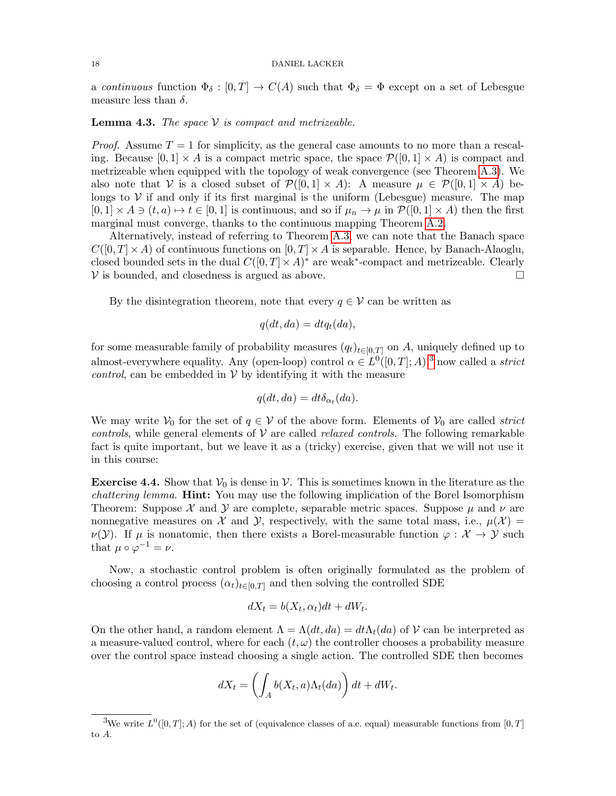#### 18 DANIEL LACKER

a continuous function  $\Phi_{\delta} : [0, T] \to C(A)$  such that  $\Phi_{\delta} = \Phi$  except on a set of Lebesgue measure less than  $\delta$ .

# **Lemma 4.3.** The space  $V$  is compact and metrizeable.

*Proof.* Assume  $T = 1$  for simplicity, as the general case amounts to no more than a rescaling. Because  $[0,1] \times A$  is a compact metric space, the space  $\mathcal{P}([0,1] \times A)$  is compact and metrizeable when equipped with the topology of weak convergence (see Theorem [A.3\)](#page-23-0). We also note that V is a closed subset of  $\mathcal{P}([0,1] \times A)$ : A measure  $\mu \in \mathcal{P}([0,1] \times A)$  belongs to  $V$  if and only if its first marginal is the uniform (Lebesgue) measure. The map  $[0,1] \times A \ni (t,a) \mapsto t \in [0,1]$  is continuous, and so if  $\mu_n \to \mu$  in  $\mathcal{P}([0,1] \times A)$  then the first marginal must converge, thanks to the continuous mapping Theorem [A.2.](#page-23-1)

Alternatively, instead of referring to Theorem [A.3,](#page-23-0) we can note that the Banach space  $C([0,T]\times A)$  of continuous functions on  $[0,T]\times A$  is separable. Hence, by Banach-Alaoglu, closed bounded sets in the dual  $C([0,T] \times A)^*$  are weak<sup>\*</sup>-compact and metrizeable. Clearly  $V$  is bounded, and closedness is argued as above.  $\Box$ 

By the disintegration theorem, note that every  $q \in V$  can be written as

$$
q(dt, da) = dt q_t(da),
$$

for some measurable family of probability measures  $(q_t)_{t\in[0,T]}$  on A, uniquely defined up to almost-everywhere equality. Any (open-loop) control  $\alpha \in L^0([0,T];A),^3$  $\alpha \in L^0([0,T];A),^3$  now called a *strict control*, can be embedded in  $V$  by identifying it with the measure

$$
q(dt, da) = dt \delta_{\alpha_t}(da).
$$

We may write  $V_0$  for the set of  $q \in V$  of the above form. Elements of  $V_0$  are called *strict* controls, while general elements of  $V$  are called *relaxed controls*. The following remarkable fact is quite important, but we leave it as a (tricky) exercise, given that we will not use it in this course:

**Exercise 4.4.** Show that  $V_0$  is dense in  $V$ . This is sometimes known in the literature as the *chattering lemma.* **Hint:** You may use the following implication of the Borel Isomorphism Theorem: Suppose  $\mathcal X$  and  $\mathcal Y$  are complete, separable metric spaces. Suppose  $\mu$  and  $\nu$  are nonnegative measures on X and Y, respectively, with the same total mass, i.e.,  $\mu(\mathcal{X}) =$  $\nu(\mathcal{Y})$ . If  $\mu$  is nonatomic, then there exists a Borel-measurable function  $\varphi : \mathcal{X} \to \mathcal{Y}$  such that  $\mu \circ \varphi^{-1} = \nu$ .

Now, a stochastic control problem is often originally formulated as the problem of choosing a control process  $(\alpha_t)_{t\in[0,T]}$  and then solving the controlled SDE

$$
dX_t = b(X_t, \alpha_t)dt + dW_t.
$$

On the other hand, a random element  $\Lambda = \Lambda(dt, da) = dt\Lambda_t(da)$  of  $\mathcal V$  can be interpreted as a measure-valued control, where for each  $(t, \omega)$  the controller chooses a probability measure over the control space instead choosing a single action. The controlled SDE then becomes

$$
dX_t = \left(\int_A b(X_t, a)\Lambda_t(da)\right)dt + dW_t.
$$

<span id="page-17-0"></span><sup>&</sup>lt;sup>3</sup>We write  $L^0([0,T];A)$  for the set of (equivalence classes of a.e. equal) measurable functions from  $[0,T]$ to A.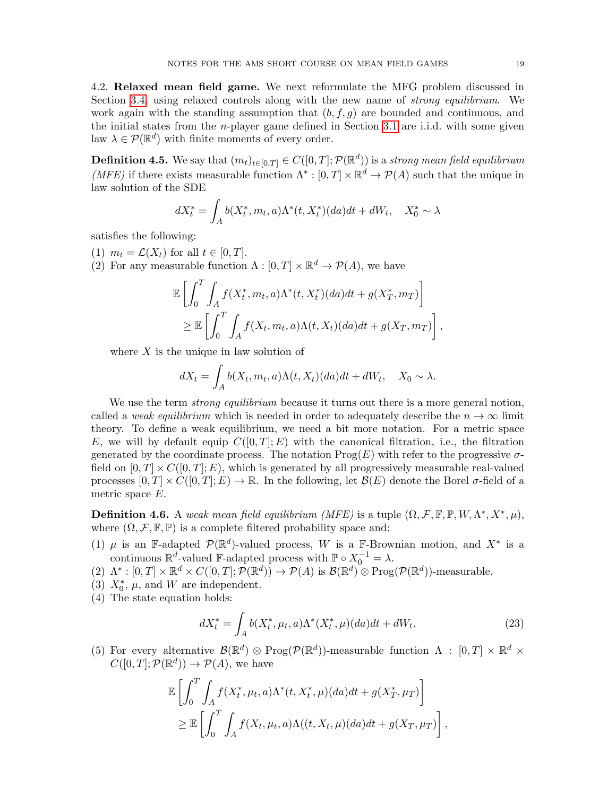<span id="page-18-0"></span>4.2. Relaxed mean field game. We next reformulate the MFG problem discussed in Section [3.4,](#page-13-0) using relaxed controls along with the new name of *strong equilibrium*. We work again with the standing assumption that  $(b, f, g)$  are bounded and continuous, and the initial states from the n-player game defined in Section [3.1](#page-11-0) are i.i.d. with some given law  $\lambda \in \mathcal{P}(\mathbb{R}^d)$  with finite moments of every order.

<span id="page-18-2"></span>**Definition 4.5.** We say that  $(m_t)_{t \in [0,T]} \in C([0,T]; \mathcal{P}(\mathbb{R}^d))$  is a strong mean field equilibrium (MFE) if there exists measurable function  $\Lambda^*: [0, T] \times \mathbb{R}^d \to \mathcal{P}(A)$  such that the unique in law solution of the SDE

$$
dX_t^* = \int_A b(X_t^*, m_t, a)\Lambda^*(t, X_t^*)(da)dt + dW_t, \quad X_0^* \sim \lambda
$$

satisfies the following:

(1)  $m_t = \mathcal{L}(X_t)$  for all  $t \in [0, T]$ .

(2) For any measurable function  $\Lambda : [0, T] \times \mathbb{R}^d \to \mathcal{P}(A)$ , we have

$$
\mathbb{E}\left[\int_0^T \int_A f(X_t^*, m_t, a)\Lambda^*(t, X_t^*)(da)dt + g(X_T^*, m_T)\right] \geq \mathbb{E}\left[\int_0^T \int_A f(X_t, m_t, a)\Lambda(t, X_t)(da)dt + g(X_T, m_T)\right],
$$

where  $X$  is the unique in law solution of

$$
dX_t = \int_A b(X_t, m_t, a) \Lambda(t, X_t) (da) dt + dW_t, \quad X_0 \sim \lambda.
$$

We use the term *strong equilibrium* because it turns out there is a more general notion, called a weak equilibrium which is needed in order to adequately describe the  $n \to \infty$  limit theory. To define a weak equilibrium, we need a bit more notation. For a metric space E, we will by default equip  $C([0,T]; E)$  with the canonical filtration, i.e., the filtration generated by the coordinate process. The notation  $\text{Prog}(E)$  with refer to the progressive  $\sigma$ field on  $[0, T] \times C([0, T]; E)$ , which is generated by all progressively measurable real-valued processes  $[0, T] \times C([0, T]; E) \to \mathbb{R}$ . In the following, let  $\mathcal{B}(E)$  denote the Borel  $\sigma$ -field of a metric space E.

<span id="page-18-1"></span>**Definition 4.6.** A weak mean field equilibrium (MFE) is a tuple  $(\Omega, \mathcal{F}, \mathbb{F}, \mathbb{P}, W, \Lambda^*, X^*, \mu)$ , where  $(\Omega, \mathcal{F}, \mathbb{F}, \mathbb{P})$  is a complete filtered probability space and:

- (1)  $\mu$  is an F-adapted  $\mathcal{P}(\mathbb{R}^d)$ -valued process, W is a F-Brownian motion, and  $X^*$  is a continuous  $\mathbb{R}^d$ -valued F-adapted process with  $\mathbb{P} \circ X_0^{-1} = \lambda$ .
- (2)  $\Lambda^*: [0,T] \times \mathbb{R}^d \times C([0,T]; \mathcal{P}(\mathbb{R}^d)) \to \mathcal{P}(A)$  is  $\mathcal{B}(\mathbb{R}^d) \otimes \text{Prog}(\mathcal{P}(\mathbb{R}^d))$ -measurable.
- (3)  $X_0^*$ ,  $\mu$ , and W are independent.
- (4) The state equation holds:

$$
dX_t^* = \int_A b(X_t^*, \mu_t, a) \Lambda^*(X_t^*, \mu)(da)dt + dW_t.
$$
 (23)

(5) For every alternative  $\mathcal{B}(\mathbb{R}^d) \otimes \text{Prog}(\mathcal{P}(\mathbb{R}^d))$ -measurable function  $\Lambda : [0, T] \times \mathbb{R}^d \times$  $C([0,T]; \mathcal{P}(\mathbb{R}^d)) \to \mathcal{P}(A)$ , we have

$$
\mathbb{E}\left[\int_0^T \int_A f(X_t^*, \mu_t, a)\Lambda^*(t, X_t^*, \mu)(da)dt + g(X_T^*, \mu_T)\right] \geq \mathbb{E}\left[\int_0^T \int_A f(X_t, \mu_t, a)\Lambda((t, X_t, \mu)(da)dt + g(X_T, \mu_T)\right],
$$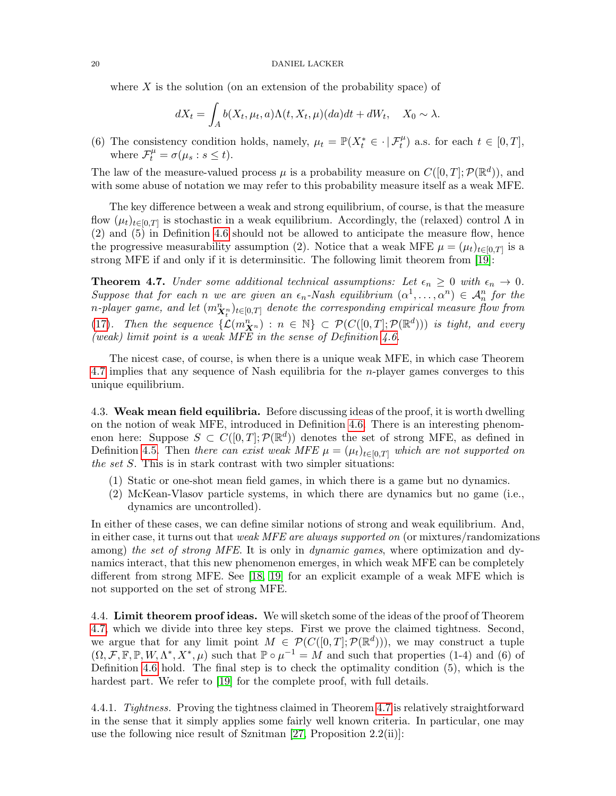where  $X$  is the solution (on an extension of the probability space) of

$$
dX_t = \int_A b(X_t, \mu_t, a) \Lambda(t, X_t, \mu)(da) dt + dW_t, \quad X_0 \sim \lambda.
$$

(6) The consistency condition holds, namely,  $\mu_t = \mathbb{P}(X_t^* \in \cdot | \mathcal{F}_t^{\mu})$  a.s. for each  $t \in [0, T]$ , where  $\mathcal{F}_t^{\mu} = \sigma(\mu_s : s \leq t)$ .

The law of the measure-valued process  $\mu$  is a probability measure on  $C([0,T]; \mathcal{P}(\mathbb{R}^d))$ , and with some abuse of notation we may refer to this probability measure itself as a weak MFE.

The key difference between a weak and strong equilibrium, of course, is that the measure flow  $(\mu_t)_{t\in[0,T]}$  is stochastic in a weak equilibrium. Accordingly, the (relaxed) control  $\Lambda$  in (2) and (5) in Definition [4.6](#page-18-1) should not be allowed to anticipate the measure flow, hence the progressive measurability assumption (2). Notice that a weak MFE  $\mu = (\mu_t)_{t \in [0,T]}$  is a strong MFE if and only if it is determinsitic. The following limit theorem from [\[19\]](#page-28-21):

<span id="page-19-2"></span>**Theorem 4.7.** Under some additional technical assumptions: Let  $\epsilon_n \geq 0$  with  $\epsilon_n \to 0$ . Suppose that for each n we are given an  $\epsilon_n$ -Nash equilibrium  $(\alpha^1,\ldots,\alpha^n) \in \mathcal{A}_n^n$  for the n-player game, and let  $(m_{\boldsymbol{X}^n_t}^n)_{t\in[0,T]}$  denote the corresponding empirical measure flow from [\(17\)](#page-11-2). Then the sequence  $\{\mathcal{L}(m_{\mathbf{X}^n}^n) : n \in \mathbb{N}\}\subset \mathcal{P}(C([0,T];\mathcal{P}(\mathbb{R}^d)))$  is tight, and every (weak) limit point is a weak MFE in the sense of Definition  $4.6$ .

The nicest case, of course, is when there is a unique weak MFE, in which case Theorem [4.7](#page-19-2) implies that any sequence of Nash equilibria for the n-player games converges to this unique equilibrium.

<span id="page-19-0"></span>4.3. Weak mean field equilibria. Before discussing ideas of the proof, it is worth dwelling on the notion of weak MFE, introduced in Definition [4.6.](#page-18-1) There is an interesting phenomenon here: Suppose  $S \subset C([0,T]; \mathcal{P}(\mathbb{R}^d))$  denotes the set of strong MFE, as defined in Definition [4.5.](#page-18-2) Then there can exist weak MFE  $\mu = (\mu_t)_{t \in [0,T]}$  which are not supported on the set S. This is in stark contrast with two simpler situations:

- (1) Static or one-shot mean field games, in which there is a game but no dynamics.
- (2) McKean-Vlasov particle systems, in which there are dynamics but no game (i.e., dynamics are uncontrolled).

In either of these cases, we can define similar notions of strong and weak equilibrium. And, in either case, it turns out that *weak MFE are always supported on* (or mixtures/randomizations) among) the set of strong MFE. It is only in dynamic games, where optimization and dynamics interact, that this new phenomenon emerges, in which weak MFE can be completely different from strong MFE. See [\[18,](#page-28-20) [19\]](#page-28-21) for an explicit example of a weak MFE which is not supported on the set of strong MFE.

<span id="page-19-1"></span>4.4. Limit theorem proof ideas. We will sketch some of the ideas of the proof of Theorem [4.7,](#page-19-2) which we divide into three key steps. First we prove the claimed tightness. Second, we argue that for any limit point  $M \in \mathcal{P}(C([0,T];\mathcal{P}(\mathbb{R}^d)))$ , we may construct a tuple  $(\Omega, \mathcal{F}, \mathbb{F}, \mathbb{P}, W, \Lambda^*, X^*, \mu)$  such that  $\mathbb{P} \circ \mu^{-1} = M$  and such that properties (1-4) and (6) of Definition [4.6](#page-18-1) hold. The final step is to check the optimality condition (5), which is the hardest part. We refer to [\[19\]](#page-28-21) for the complete proof, with full details.

4.4.1. Tightness. Proving the tightness claimed in Theorem [4.7](#page-19-2) is relatively straightforward in the sense that it simply applies some fairly well known criteria. In particular, one may use the following nice result of Sznitman [\[27,](#page-28-22) Proposition 2.2(ii)]: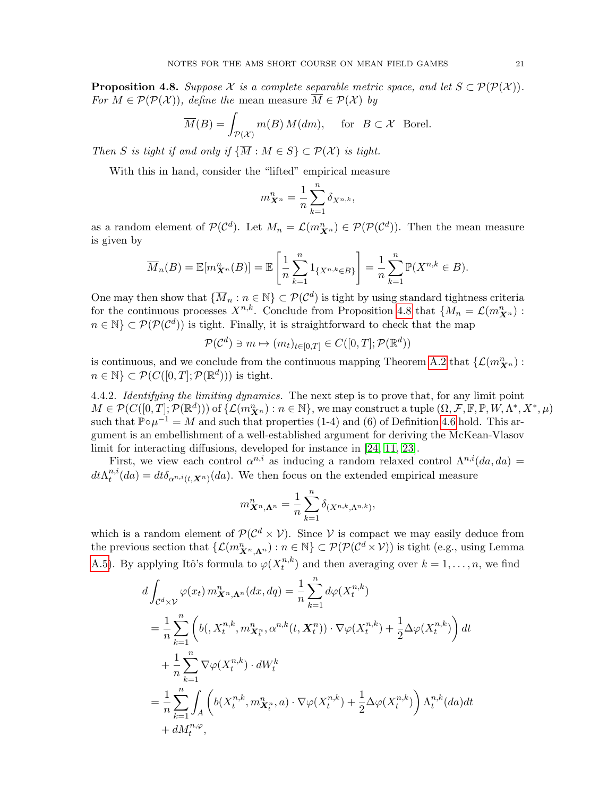<span id="page-20-0"></span>**Proposition 4.8.** Suppose X is a complete separable metric space, and let  $S \subset \mathcal{P}(\mathcal{P}(\mathcal{X}))$ . For  $M \in \mathcal{P}(\mathcal{P}(\mathcal{X}))$ , define the mean measure  $\overline{M} \in \mathcal{P}(\mathcal{X})$  by

$$
\overline{M}(B) = \int_{\mathcal{P}(\mathcal{X})} m(B) M(dm), \quad \text{for } B \subset \mathcal{X} \text{ Borel.}
$$

Then S is tight if and only if  $\{\overline{M} : M \in S\} \subset \mathcal{P}(\mathcal{X})$  is tight.

With this in hand, consider the "lifted" empirical measure

$$
m_{\boldsymbol{X}^n}^n = \frac{1}{n} \sum_{k=1}^n \delta_{X^{n,k}},
$$

as a random element of  $\mathcal{P}(\mathcal{C}^d)$ . Let  $M_n = \mathcal{L}(m_{\mathbf{X}^n}^n) \in \mathcal{P}(\mathcal{P}(\mathcal{C}^d))$ . Then the mean measure is given by

$$
\overline{M}_n(B) = \mathbb{E}[m_{\mathbf{X}^n}^n(B)] = \mathbb{E}\left[\frac{1}{n}\sum_{k=1}^n 1_{\{X^{n,k}\in B\}}\right] = \frac{1}{n}\sum_{k=1}^n \mathbb{P}(X^{n,k}\in B).
$$

One may then show that  $\{\overline{M}_n : n \in \mathbb{N}\}\subset \mathcal{P}(\mathcal{C}^d)$  is tight by using standard tightness criteria for the continuous processes  $X^{n,k}$ . Conclude from Proposition [4.8](#page-20-0) that  $\{M_n = \mathcal{L}(m_{\boldsymbol{X}^n}^n)$ :  $n \in \mathbb{N} \subset \mathcal{P}(\mathcal{P}(\mathcal{C}^d))$  is tight. Finally, it is straightforward to check that the map

$$
\mathcal{P}(\mathcal{C}^d) \ni m \mapsto (m_t)_{t \in [0,T]} \in C([0,T];\mathcal{P}(\mathbb{R}^d))
$$

is continuous, and we conclude from the continuous mapping Theorem [A.2](#page-23-1) that  $\{\mathcal{L}(m_{\boldsymbol{X}^n}^n)$ :  $n \in \mathbb{N} \subset \mathcal{P}(C([0,T]; \mathcal{P}(\mathbb{R}^d)))$  is tight.

4.4.2. Identifying the limiting dynamics. The next step is to prove that, for any limit point  $M \in \mathcal{P}(C([0,T];\mathcal{P}(\mathbb{R}^d)))$  of  $\{\mathcal{L}(m^n_{\boldsymbol{X}^n}):n\in\mathbb{N}\},$  we may construct a tuple  $(\Omega,\mathcal{F},\mathbb{F},\mathbb{P},W,\Lambda^*,X^*,\mu)$ such that  $\mathbb{P} \circ \mu^{-1} = M$  and such that properties (1-4) and (6) of Definition [4.6](#page-18-1) hold. This argument is an embellishment of a well-established argument for deriving the McKean-Vlasov limit for interacting diffusions, developed for instance in [\[24,](#page-28-23) [11,](#page-28-24) [23\]](#page-28-25).

First, we view each control  $\alpha^{n,i}$  as inducing a random relaxed control  $\Lambda^{n,i}(da, da)$  =  $dt\Lambda^{n,i}_t$  $t^{n,\iota}(da) = dt \delta_{\alpha^{n,\iota}(t,\mathbf{X}^n)}(da)$ . We then focus on the extended empirical measure

$$
m_{\mathbf{X}^n,\mathbf{\Lambda}^n}^n = \frac{1}{n} \sum_{k=1}^n \delta_{(X^{n,k},\Lambda^{n,k})},
$$

which is a random element of  $\mathcal{P}(\mathcal{C}^d \times \mathcal{V})$ . Since V is compact we may easily deduce from the previous section that  $\{\mathcal{L}(m_{\mathbf{X}^n,\mathbf{\Lambda}^n}^n) : n \in \mathbb{N}\}\subset \mathcal{P}(\mathcal{P}(\mathcal{C}^d \times \mathcal{V}))$  is tight (e.g., using Lemma [A.5\)](#page-23-2). By applying Itô's formula to  $\varphi(X_t^{n,k})$  $t^{n,\kappa}$  and then averaging over  $k = 1, \ldots, n$ , we find

$$
d \int_{\mathcal{C}^{d} \times \mathcal{V}} \varphi(x_{t}) m_{\mathbf{X}^{n}, \mathbf{\Lambda}^{n}}^{n} (dx, dq) = \frac{1}{n} \sum_{k=1}^{n} d\varphi(X_{t}^{n,k})
$$
  
\n
$$
= \frac{1}{n} \sum_{k=1}^{n} \left( b(\mathbf{X}_{t}^{n,k}, m_{\mathbf{X}_{t}^{n}}, \alpha^{n,k}(t, \mathbf{X}_{t}^{n})) \cdot \nabla \varphi(X_{t}^{n,k}) + \frac{1}{2} \Delta \varphi(X_{t}^{n,k}) \right) dt
$$
  
\n
$$
+ \frac{1}{n} \sum_{k=1}^{n} \nabla \varphi(X_{t}^{n,k}) \cdot dW_{t}^{k}
$$
  
\n
$$
= \frac{1}{n} \sum_{k=1}^{n} \int_{A} \left( b(X_{t}^{n,k}, m_{\mathbf{X}_{t}^{n}}, a) \cdot \nabla \varphi(X_{t}^{n,k}) + \frac{1}{2} \Delta \varphi(X_{t}^{n,k}) \right) \Lambda_{t}^{n,k}(da) dt
$$
  
\n
$$
+ dM_{t}^{n,\varphi},
$$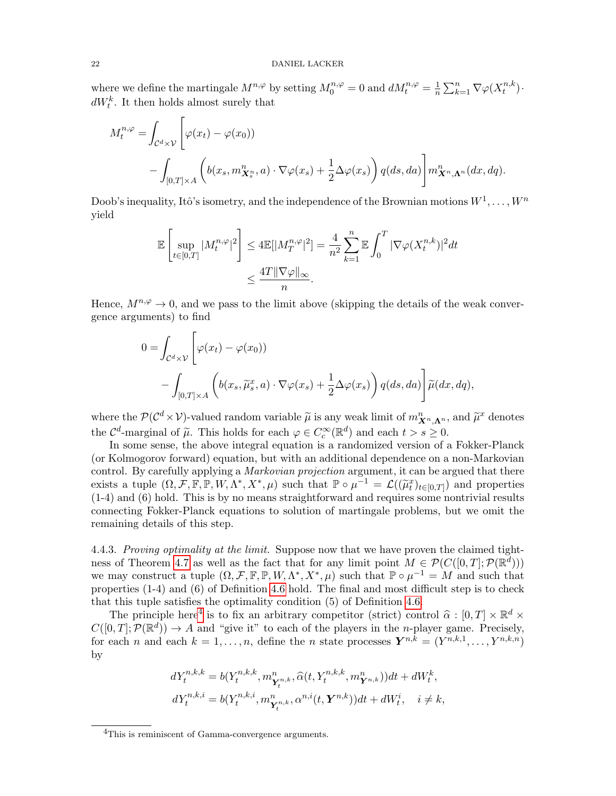where we define the martingale  $M^{n,\varphi}$  by setting  $M_0^{n,\varphi} = 0$  and  $dM_t^{n,\varphi} = \frac{1}{n}$  $\frac{1}{n} \sum_{k=1}^n \nabla \varphi(X_t^{n,k})$  $\binom{n,\kappa}{t}$ .  $dW_t^k$ . It then holds almost surely that

$$
M_t^{n,\varphi} = \int_{\mathcal{C}^d \times \mathcal{V}} \left[ \varphi(x_t) - \varphi(x_0) \right)
$$
  
 
$$
- \int_{[0,T] \times A} \left( b(x_s, m_{\mathbf{X}_s^n}^n, a) \cdot \nabla \varphi(x_s) + \frac{1}{2} \Delta \varphi(x_s) \right) q(ds, da) \right] m_{\mathbf{X}^n, \mathbf{\Lambda}^n}^n(dx, dq).
$$

Doob's inequality, Itô's isometry, and the independence of the Brownian motions  $W^1, \ldots, W^n$ yield

$$
\mathbb{E}\left[\sup_{t\in[0,T]}|M_t^{n,\varphi}|^2\right] \leq 4\mathbb{E}[|M_T^{n,\varphi}|^2] = \frac{4}{n^2}\sum_{k=1}^n\mathbb{E}\int_0^T|\nabla\varphi(X_t^{n,k})|^2dt
$$
  

$$
\leq \frac{4T\|\nabla\varphi\|_{\infty}}{n}.
$$

Hence,  $M^{n,\varphi} \to 0$ , and we pass to the limit above (skipping the details of the weak convergence arguments) to find

$$
0 = \int_{\mathcal{C}^d \times \mathcal{V}} \left[ \varphi(x_t) - \varphi(x_0) \right)
$$
  
 
$$
- \int_{[0,T] \times A} \left( b(x_s, \widetilde{\mu}_s^x, a) \cdot \nabla \varphi(x_s) + \frac{1}{2} \Delta \varphi(x_s) \right) q(ds, da) \right] \widetilde{\mu}(dx, dq),
$$

where the  $\mathcal{P}(\mathcal{C}^d \times \mathcal{V})$ -valued random variable  $\tilde{\mu}$  is any weak limit of  $m_{\mathbf{X}^n,\mathbf{\Lambda}^n}^n$ , and  $\tilde{\mu}^x$  denotes the  $\mathcal{C}^d$ -marginal of  $\widetilde{\mu}$ . This holds for each  $\varphi \in C_c^{\infty}(\mathbb{R}^d)$  and each  $t > s \geq 0$ .<br>In some sonse, the show integral equation is a randomized version of a

In some sense, the above integral equation is a randomized version of a Fokker-Planck (or Kolmogorov forward) equation, but with an additional dependence on a non-Markovian control. By carefully applying a *Markovian projection* argument, it can be argued that there exists a tuple  $(\Omega, \mathcal{F}, \mathbb{F}, \mathbb{P}, W, \Lambda^*, X^*, \mu)$  such that  $\mathbb{P} \circ \mu^{-1} = \mathcal{L}((\tilde{\mu}_t^x)_{t \in [0,T]})$  and properties (1-4) and (6) hold. This is by no means straightforward and requires some nontrivial results connecting Fokker-Planck equations to solution of martingale problems, but we omit the remaining details of this step.

4.4.3. Proving optimality at the limit. Suppose now that we have proven the claimed tight-ness of Theorem [4.7](#page-19-2) as well as the fact that for any limit point  $M \in \mathcal{P}(C([0,T]; \mathcal{P}(\mathbb{R}^d)))$ we may construct a tuple  $(\Omega, \mathcal{F}, \mathbb{F}, \mathbb{P}, W, \Lambda^*, X^*, \mu)$  such that  $\mathbb{P} \circ \mu^{-1} = M$  and such that properties (1-4) and (6) of Definition [4.6](#page-18-1) hold. The final and most difficult step is to check that this tuple satisfies the optimality condition (5) of Definition [4.6.](#page-18-1)

The principle here<sup>[4](#page-21-0)</sup> is to fix an arbitrary competitor (strict) control  $\hat{\alpha} : [0, T] \times \mathbb{R}^d \times$ <br> $\Omega$   $T! \cdot \mathcal{D}(\mathbb{R}^d)$ )  $\rightarrow$  4 and "give it" to seek of the players in the p player game. Precisely  $C([0,T]; \mathcal{P}(\mathbb{R}^d)) \to A$  and "give it" to each of the players in the *n*-player game. Precisely, for each n and each  $k = 1, \ldots, n$ , define the n state processes  $\mathbf{Y}^{n,k} = (Y^{n,k,1}, \ldots, Y^{n,k,n})$ by

$$
dY_t^{n,k,k} = b(Y_t^{n,k,k}, m_{\mathbf{Y}_t^{n,k}}, \hat{\alpha}(t, Y_t^{n,k,k}, m_{\mathbf{Y}^{n,k}}^n))dt + dW_t^k,
$$
  

$$
dY_t^{n,k,i} = b(Y_t^{n,k,i}, m_{\mathbf{Y}_t^{n,k}}, \alpha^{n,i}(t, \mathbf{Y}^{n,k}))dt + dW_t^i, \quad i \neq k,
$$

<span id="page-21-0"></span><sup>4</sup>This is reminiscent of Gamma-convergence arguments.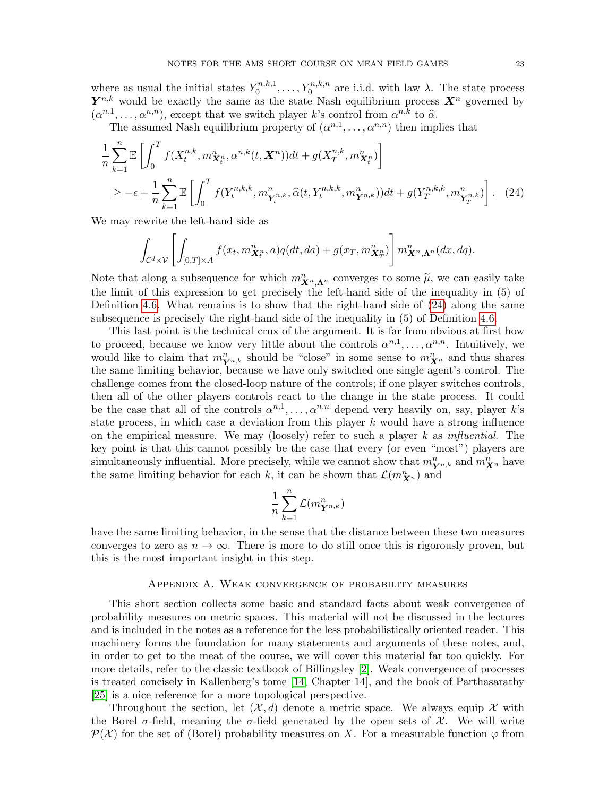where as usual the initial states  $Y_0^{n,k,1}$  $\chi_0^{n,k,1}, \ldots, Y_0^{n,k,n}$  are i.i.d. with law  $\lambda$ . The state process  $Y^{n,k}$  would be exactly the same as the state Nash equilibrium process  $X^n$  governed by  $(\alpha^{n,1}, \ldots, \alpha^{n,n})$ , except that we switch player k's control from  $\alpha^{n,k}$  to  $\hat{\alpha}$ .<br>The assumed Nash equilibrium property of  $(\alpha^{n,1}, \ldots, \alpha^{n,n})$  then import

The assumed Nash equilibrium property of  $(\alpha^{n,1}, \ldots, \alpha^{n,n})$  then implies that

$$
\frac{1}{n} \sum_{k=1}^{n} \mathbb{E} \left[ \int_{0}^{T} f(X_{t}^{n,k}, m_{\mathbf{X}_{t}^{n}}^{n}, \alpha^{n,k}(t, \mathbf{X}^{n})) dt + g(X_{T}^{n,k}, m_{\mathbf{X}_{t}^{n}}^{n}) \right] \ge -\epsilon + \frac{1}{n} \sum_{k=1}^{n} \mathbb{E} \left[ \int_{0}^{T} f(Y_{t}^{n,k,k}, m_{\mathbf{Y}_{t}^{n,k}}^{n}, \widehat{\alpha}(t, Y_{t}^{n,k,k}, m_{\mathbf{Y}_{n,k}}^{n})) dt + g(Y_{T}^{n,k,k}, m_{\mathbf{Y}_{T}^{n,k}}^{n}) \right].
$$
\n(24)

We may rewrite the left-hand side as

<span id="page-22-1"></span>
$$
\int_{\mathcal{C}^d \times \mathcal{V}} \left[ \int_{[0,T] \times A} f(x_t, m_{\boldsymbol{X}_t^n}^n, a) q(dt, da) + g(x_T, m_{\boldsymbol{X}_T^n}^n) \right] m_{\boldsymbol{X}^n, \boldsymbol{\Lambda}^n}^n(dx, dq).
$$

Note that along a subsequence for which  $m_{X_n,\Lambda^n}^n$  converges to some  $\tilde{\mu}$ , we can easily take the limit of this expression to get precisely the left-hand side of the inequality in (5) of Definition [4.6.](#page-18-1) What remains is to show that the right-hand side of  $(24)$  along the same subsequence is precisely the right-hand side of the inequality in (5) of Definition [4.6.](#page-18-1)

This last point is the technical crux of the argument. It is far from obvious at first how to proceed, because we know very little about the controls  $\alpha^{n,1}, \ldots, \alpha^{n,n}$ . Intuitively, we would like to claim that  $m_{\mathbf{Y}^{n,k}}^n$  should be "close" in some sense to  $m_{\mathbf{X}^n}^n$  and thus shares the same limiting behavior, because we have only switched one single agent's control. The challenge comes from the closed-loop nature of the controls; if one player switches controls, then all of the other players controls react to the change in the state process. It could be the case that all of the controls  $\alpha^{n,1}, \ldots, \alpha^{n,n}$  depend very heavily on, say, player k's state process, in which case a deviation from this player  $k$  would have a strong influence on the empirical measure. We may (loosely) refer to such a player  $k$  as *influential*. The key point is that this cannot possibly be the case that every (or even "most") players are simultaneously influential. More precisely, while we cannot show that  $m_{\mathbf{Y}^{n,k}}^n$  and  $m_{\mathbf{X}^n}^n$  have the same limiting behavior for each k, it can be shown that  $\mathcal{L}(m_{\boldsymbol{X}^n}^n)$  and

$$
\frac{1}{n}\sum_{k=1}^n\mathcal{L}(m_{\boldsymbol{Y}^{n,k}}^n)
$$

have the same limiting behavior, in the sense that the distance between these two measures converges to zero as  $n \to \infty$ . There is more to do still once this is rigorously proven, but this is the most important insight in this step.

#### Appendix A. Weak convergence of probability measures

<span id="page-22-0"></span>This short section collects some basic and standard facts about weak convergence of probability measures on metric spaces. This material will not be discussed in the lectures and is included in the notes as a reference for the less probabilistically oriented reader. This machinery forms the foundation for many statements and arguments of these notes, and, in order to get to the meat of the course, we will cover this material far too quickly. For more details, refer to the classic textbook of Billingsley [\[2\]](#page-28-26). Weak convergence of processes is treated concisely in Kallenberg's tome [\[14,](#page-28-27) Chapter 14], and the book of Parthasarathy [\[25\]](#page-28-28) is a nice reference for a more topological perspective.

Throughout the section, let  $(\mathcal{X}, d)$  denote a metric space. We always equip X with the Borel  $\sigma$ -field, meaning the  $\sigma$ -field generated by the open sets of X. We will write  $\mathcal{P}(\mathcal{X})$  for the set of (Borel) probability measures on X. For a measurable function  $\varphi$  from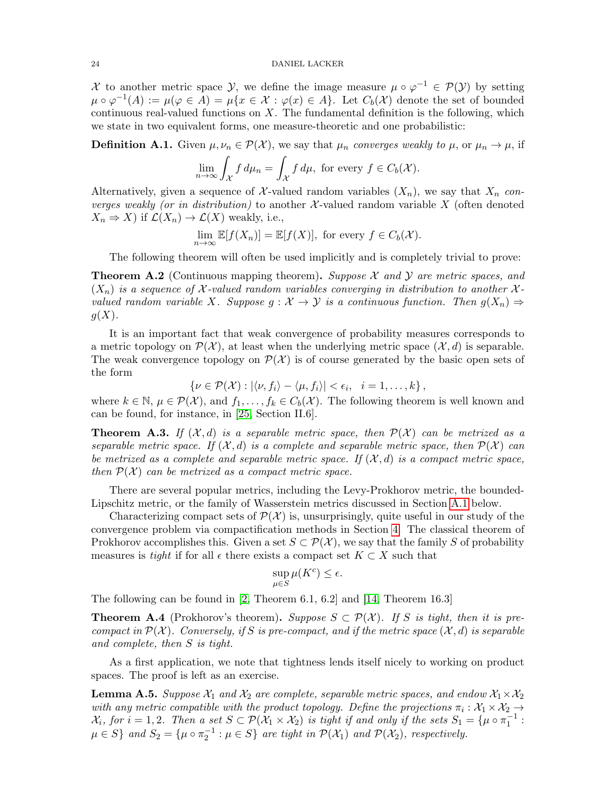#### 24 DANIEL LACKER

X to another metric space Y, we define the image measure  $\mu \circ \varphi^{-1} \in \mathcal{P}(Y)$  by setting  $\mu \circ \varphi^{-1}(A) := \mu(\varphi \in A) = \mu\{x \in \mathcal{X} : \varphi(x) \in A\}.$  Let  $C_b(\mathcal{X})$  denote the set of bounded continuous real-valued functions on  $X$ . The fundamental definition is the following, which we state in two equivalent forms, one measure-theoretic and one probabilistic:

**Definition A.1.** Given  $\mu, \nu_n \in \mathcal{P}(\mathcal{X})$ , we say that  $\mu_n$  converges weakly to  $\mu$ , or  $\mu_n \to \mu$ , if

$$
\lim_{n \to \infty} \int_{\mathcal{X}} f \, d\mu_n = \int_{\mathcal{X}} f \, d\mu, \text{ for every } f \in C_b(\mathcal{X}).
$$

Alternatively, given a sequence of X-valued random variables  $(X_n)$ , we say that  $X_n$  converges weakly (or in distribution) to another  $\mathcal{X}$ -valued random variable X (often denoted  $X_n \Rightarrow X$ ) if  $\mathcal{L}(X_n) \to \mathcal{L}(X)$  weakly, i.e.,

$$
\lim_{n \to \infty} \mathbb{E}[f(X_n)] = \mathbb{E}[f(X)],
$$
 for every  $f \in C_b(\mathcal{X}).$ 

The following theorem will often be used implicitly and is completely trivial to prove:

<span id="page-23-1"></span>**Theorem A.2** (Continuous mapping theorem). Suppose  $\mathcal{X}$  and  $\mathcal{Y}$  are metric spaces, and  $(X_n)$  is a sequence of X-valued random variables converging in distribution to another Xvalued random variable X. Suppose  $g: \mathcal{X} \to \mathcal{Y}$  is a continuous function. Then  $g(X_n) \Rightarrow$  $g(X)$ .

It is an important fact that weak convergence of probability measures corresponds to a metric topology on  $\mathcal{P}(\mathcal{X})$ , at least when the underlying metric space  $(\mathcal{X}, d)$  is separable. The weak convergence topology on  $\mathcal{P}(\mathcal{X})$  is of course generated by the basic open sets of the form

$$
\left\{\nu \in \mathcal{P}(\mathcal{X}): |\langle \nu, f_i \rangle - \langle \mu, f_i \rangle| < \epsilon_i, \quad i = 1, \ldots, k\right\},\
$$

where  $k \in \mathbb{N}$ ,  $\mu \in \mathcal{P}(\mathcal{X})$ , and  $f_1, \ldots, f_k \in C_b(\mathcal{X})$ . The following theorem is well known and can be found, for instance, in [\[25,](#page-28-28) Section II.6].

<span id="page-23-0"></span>**Theorem A.3.** If  $(X,d)$  is a separable metric space, then  $\mathcal{P}(X)$  can be metrized as a separable metric space. If  $(\mathcal{X}, d)$  is a complete and separable metric space, then  $\mathcal{P}(\mathcal{X})$  can be metrized as a complete and separable metric space. If  $(\mathcal{X}, d)$  is a compact metric space, then  $\mathcal{P}(\mathcal{X})$  can be metrized as a compact metric space.

There are several popular metrics, including the Levy-Prokhorov metric, the bounded-Lipschitz metric, or the family of Wasserstein metrics discussed in Section [A.1](#page-24-0) below.

Characterizing compact sets of  $\mathcal{P}(\mathcal{X})$  is, unsurprisingly, quite useful in our study of the convergence problem via compactification methods in Section [4.](#page-16-0) The classical theorem of Prokhorov accomplishes this. Given a set  $S \subset \mathcal{P}(\mathcal{X})$ , we say that the family S of probability measures is tight if for all  $\epsilon$  there exists a compact set  $K \subset X$  such that

$$
\sup_{\mu \in S} \mu(K^c) \le \epsilon.
$$

The following can be found in [\[2,](#page-28-26) Theorem 6.1, 6.2] and [\[14,](#page-28-27) Theorem 16.3]

**Theorem A.4** (Prokhorov's theorem). Suppose  $S \subset \mathcal{P}(\mathcal{X})$ . If S is tight, then it is precompact in  $\mathcal{P}(\mathcal{X})$ . Conversely, if S is pre-compact, and if the metric space  $(\mathcal{X}, d)$  is separable and complete, then S is tight.

As a first application, we note that tightness lends itself nicely to working on product spaces. The proof is left as an exercise.

<span id="page-23-2"></span>**Lemma A.5.** Suppose  $\mathcal{X}_1$  and  $\mathcal{X}_2$  are complete, separable metric spaces, and endow  $\mathcal{X}_1 \times \mathcal{X}_2$ with any metric compatible with the product topology. Define the projections  $\pi_i : \mathcal{X}_1 \times \mathcal{X}_2 \to$  $\mathcal{X}_i$ , for  $i = 1, 2$ . Then a set  $S \subset \mathcal{P}(\mathcal{X}_1 \times \mathcal{X}_2)$  is tight if and only if the sets  $S_1 = {\mu \circ \pi_1^{-1}}$ :  $\mu \in S$  and  $S_2 = {\mu \circ \pi_2^{-1} : \mu \in S}$  are tight in  $\mathcal{P}(\mathcal{X}_1)$  and  $\mathcal{P}(\mathcal{X}_2)$ , respectively.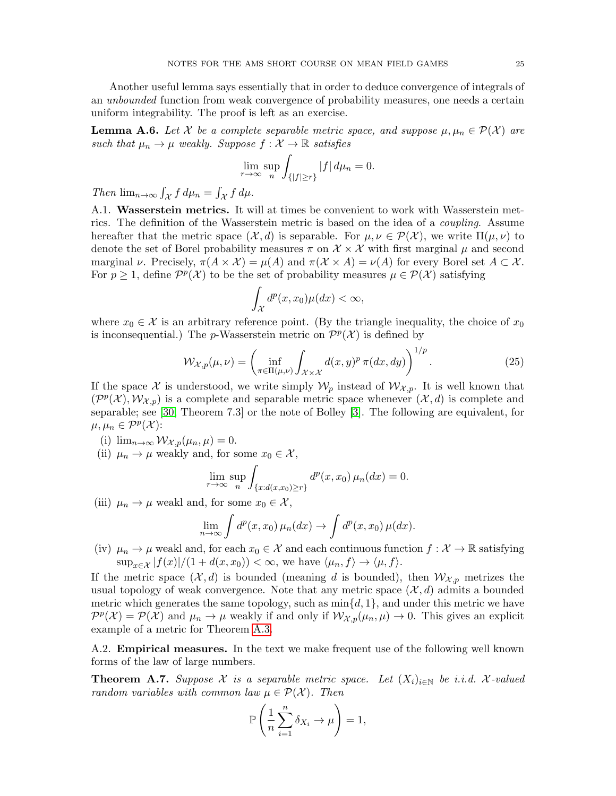Another useful lemma says essentially that in order to deduce convergence of integrals of an unbounded function from weak convergence of probability measures, one needs a certain uniform integrability. The proof is left as an exercise.

**Lemma A.6.** Let X be a complete separable metric space, and suppose  $\mu, \mu_n \in \mathcal{P}(\mathcal{X})$  are such that  $\mu_n \to \mu$  weakly. Suppose  $f : \mathcal{X} \to \mathbb{R}$  satisfies

$$
\lim_{r \to \infty} \sup_n \int_{\{|f| \ge r\}} |f| \, d\mu_n = 0.
$$

Then  $\lim_{n\to\infty} \int_{\mathcal{X}} f d\mu_n = \int_{\mathcal{X}} f d\mu.$ 

<span id="page-24-0"></span>A.1. Wasserstein metrics. It will at times be convenient to work with Wasserstein metrics. The definition of the Wasserstein metric is based on the idea of a coupling. Assume hereafter that the metric space  $(\mathcal{X}, d)$  is separable. For  $\mu, \nu \in \mathcal{P}(\mathcal{X})$ , we write  $\Pi(\mu, \nu)$  to denote the set of Borel probability measures  $\pi$  on  $\mathcal{X} \times \mathcal{X}$  with first marginal  $\mu$  and second marginal  $\nu$ . Precisely,  $\pi(A \times \mathcal{X}) = \mu(A)$  and  $\pi(\mathcal{X} \times A) = \nu(A)$  for every Borel set  $A \subset \mathcal{X}$ . For  $p \geq 1$ , define  $\mathcal{P}^p(\mathcal{X})$  to be the set of probability measures  $\mu \in \mathcal{P}(\mathcal{X})$  satisfying

<span id="page-24-2"></span>
$$
\int_{\mathcal{X}} d^p(x, x_0) \mu(dx) < \infty,
$$

where  $x_0 \in \mathcal{X}$  is an arbitrary reference point. (By the triangle inequality, the choice of  $x_0$ is inconsequential.) The *p*-Wasserstein metric on  $\mathcal{P}^p(\mathcal{X})$  is defined by

$$
\mathcal{W}_{\mathcal{X},p}(\mu,\nu) = \left(\inf_{\pi \in \Pi(\mu,\nu)} \int_{\mathcal{X} \times \mathcal{X}} d(x,y)^p \,\pi(dx,dy)\right)^{1/p}.\tag{25}
$$

If the space X is understood, we write simply  $\mathcal{W}_p$  instead of  $\mathcal{W}_{\mathcal{X},p}$ . It is well known that  $(\mathcal{P}^p(\mathcal{X}), \mathcal{W}_{\mathcal{X},p})$  is a complete and separable metric space whenever  $(\mathcal{X}, d)$  is complete and separable; see [\[30,](#page-28-29) Theorem 7.3] or the note of Bolley [\[3\]](#page-28-30). The following are equivalent, for  $\mu, \mu_n \in \mathcal{P}^p(\mathcal{X})$ :

(i)  $\lim_{n\to\infty} \mathcal{W}_{\mathcal{X},p}(\mu_n,\mu) = 0.$ 

(ii)  $\mu_n \to \mu$  weakly and, for some  $x_0 \in \mathcal{X}$ ,

$$
\lim_{r \to \infty} \sup_n \int_{\{x:d(x,x_0)\ge r\}} d^p(x,x_0) \,\mu_n(dx) = 0.
$$

(iii)  $\mu_n \to \mu$  weakl and, for some  $x_0 \in \mathcal{X}$ ,

$$
\lim_{n \to \infty} \int d^p(x, x_0) \mu_n(dx) \to \int d^p(x, x_0) \mu(dx).
$$

(iv)  $\mu_n \to \mu$  weakl and, for each  $x_0 \in \mathcal{X}$  and each continuous function  $f: \mathcal{X} \to \mathbb{R}$  satisfying  $\sup_{x \in \mathcal{X}} |f(x)|/(1 + d(x, x_0)) < \infty$ , we have  $\langle \mu_n, f \rangle \to \langle \mu, f \rangle$ .

If the metric space  $(\mathcal{X}, d)$  is bounded (meaning d is bounded), then  $\mathcal{W}_{\mathcal{X}, p}$  metrizes the usual topology of weak convergence. Note that any metric space  $(\mathcal{X}, d)$  admits a bounded metric which generates the same topology, such as  $\min\{d, 1\}$ , and under this metric we have  $\mathcal{P}^p(\mathcal{X}) = \mathcal{P}(\mathcal{X})$  and  $\mu_n \to \mu$  weakly if and only if  $\mathcal{W}_{\mathcal{X},p}(\mu_n,\mu) \to 0$ . This gives an explicit example of a metric for Theorem [A.3.](#page-23-0)

<span id="page-24-1"></span>A.2. Empirical measures. In the text we make frequent use of the following well known forms of the law of large numbers.

<span id="page-24-3"></span>**Theorem A.7.** Suppose X is a separable metric space. Let  $(X_i)_{i\in\mathbb{N}}$  be i.i.d. X-valued random variables with common law  $\mu \in \mathcal{P}(\mathcal{X})$ . Then

$$
\mathbb{P}\left(\frac{1}{n}\sum_{i=1}^n \delta_{X_i} \to \mu\right) = 1,
$$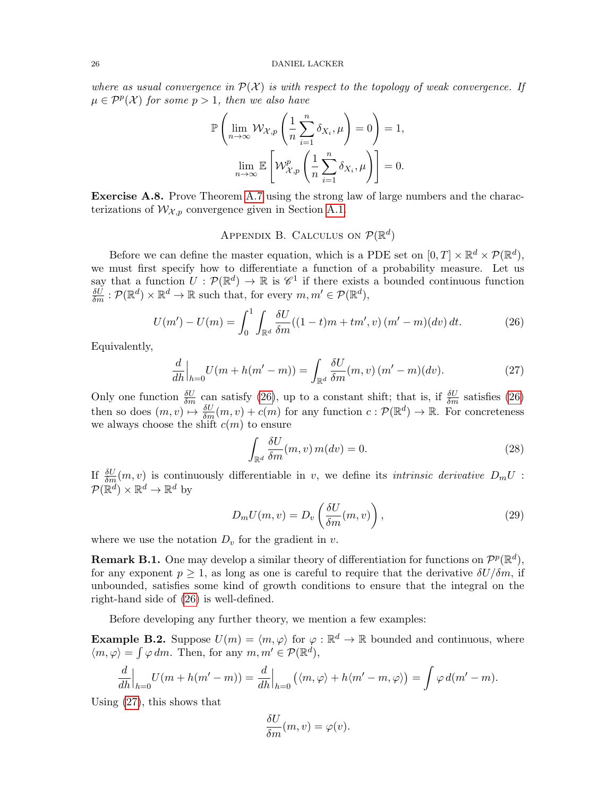where as usual convergence in  $\mathcal{P}(\mathcal{X})$  is with respect to the topology of weak convergence. If  $\mu \in \mathcal{P}^p(\mathcal{X})$  for some  $p > 1$ , then we also have

$$
\mathbb{P}\left(\lim_{n\to\infty} \mathcal{W}_{\mathcal{X},p}\left(\frac{1}{n}\sum_{i=1}^n \delta_{X_i},\mu\right)=0\right)=1,
$$
  

$$
\lim_{n\to\infty} \mathbb{E}\left[\mathcal{W}_{\mathcal{X},p}^p\left(\frac{1}{n}\sum_{i=1}^n \delta_{X_i},\mu\right)\right]=0.
$$

Exercise A.8. Prove Theorem [A.7](#page-24-3) using the strong law of large numbers and the characterizations of  $\mathcal{W}_{\mathcal{X},p}$  convergence given in Section [A.1.](#page-24-0)

# APPENDIX B. CALCULUS ON  $\mathcal{P}(\mathbb{R}^d)$

<span id="page-25-0"></span>Before we can define the master equation, which is a PDE set on  $[0, T] \times \mathbb{R}^d \times \mathcal{P}(\mathbb{R}^d)$ , we must first specify how to differentiate a function of a probability measure. Let us say that a function  $U: \mathcal{P}(\mathbb{R}^d) \to \mathbb{R}$  is  $\mathscr{C}^1$  if there exists a bounded continuous function  $\frac{\delta U}{\delta m} : \mathcal{P}(\mathbb{R}^d) \times \mathbb{R}^d \to \mathbb{R}$  such that, for every  $m, m' \in \mathcal{P}(\mathbb{R}^d)$ ,

$$
U(m') - U(m) = \int_0^1 \int_{\mathbb{R}^d} \frac{\delta U}{\delta m} ((1 - t)m + tm', v) (m' - m)(dv) dt.
$$
 (26)

Equivalently,

$$
\frac{d}{dh}\Big|_{h=0}U(m+h(m'-m)) = \int_{\mathbb{R}^d} \frac{\delta U}{\delta m}(m,v)(m'-m)(dv). \tag{27}
$$

Only one function  $\frac{\delta U}{\delta m}$  can satisfy [\(26\)](#page-25-1), up to a constant shift; that is, if  $\frac{\delta U}{\delta m}$  satisfies (26) then so does  $(m, v) \mapsto \frac{\delta U}{\delta m}(m, v) + c(m)$  for any function  $c : \mathcal{P}(\mathbb{R}^d) \to \mathbb{R}$ . For concreteness we always choose the shift  $c(m)$  to ensure

<span id="page-25-3"></span><span id="page-25-2"></span><span id="page-25-1"></span>
$$
\int_{\mathbb{R}^d} \frac{\delta U}{\delta m}(m, v) m(dv) = 0.
$$
\n(28)

If  $\frac{\delta U}{\delta m}(m, v)$  is continuously differentiable in v, we define its *intrinsic derivative*  $D_m U$ :  $\mathcal{P}(\mathbb{R}^d)\times \mathbb{R}^d \to \mathbb{R}^d$  by

$$
D_m U(m, v) = D_v \left( \frac{\delta U}{\delta m}(m, v) \right), \tag{29}
$$

where we use the notation  $D_v$  for the gradient in v.

**Remark B.1.** One may develop a similar theory of differentiation for functions on  $\mathcal{P}^p(\mathbb{R}^d)$ , for any exponent  $p \geq 1$ , as long as one is careful to require that the derivative  $\delta U/\delta m$ , if unbounded, satisfies some kind of growth conditions to ensure that the integral on the right-hand side of [\(26\)](#page-25-1) is well-defined.

Before developing any further theory, we mention a few examples:

**Example B.2.** Suppose  $U(m) = \langle m, \varphi \rangle$  for  $\varphi : \mathbb{R}^d \to \mathbb{R}$  bounded and continuous, where  $\langle m, \varphi \rangle = \int \varphi \, dm$ . Then, for any  $m, m' \in \mathcal{P}(\mathbb{R}^d)$ ,

$$
\frac{d}{dh}\Big|_{h=0}U(m+h(m'-m))=\frac{d}{dh}\Big|_{h=0}\left(\langle m,\varphi\rangle+h\langle m'-m,\varphi\rangle\right)=\int \varphi\,d(m'-m).
$$

Using [\(27\)](#page-25-2), this shows that

$$
\frac{\delta U}{\delta m}(m, v) = \varphi(v).
$$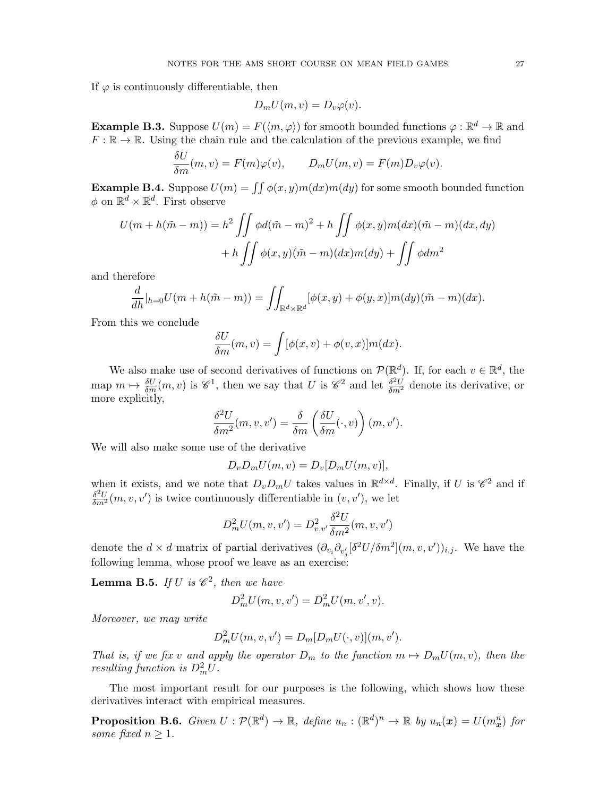If  $\varphi$  is continuously differentiable, then

$$
D_m U(m, v) = D_v \varphi(v).
$$

**Example B.3.** Suppose  $U(m) = F(\langle m, \varphi \rangle)$  for smooth bounded functions  $\varphi : \mathbb{R}^d \to \mathbb{R}$  and  $F: \mathbb{R} \to \mathbb{R}$ . Using the chain rule and the calculation of the previous example, we find

$$
\frac{\delta U}{\delta m}(m, v) = F(m)\varphi(v), \qquad D_m U(m, v) = F(m)D_v\varphi(v).
$$

**Example B.4.** Suppose  $U(m) = \iint \phi(x, y)m(dx)m(dy)$  for some smooth bounded function  $\phi$  on  $\mathbb{R}^d \times \mathbb{R}^d$ . First observe

$$
U(m+h(\tilde{m}-m)) = h^2 \iint \phi d(\tilde{m}-m)^2 + h \iint \phi(x,y)m(dx)(\tilde{m}-m)(dx,dy) + h \iint \phi(x,y)(\tilde{m}-m)(dx)m(dy) + \iint \phi dm^2
$$

and therefore

$$
\frac{d}{dh}|_{h=0}U(m+h(\tilde{m}-m))=\iint_{\mathbb{R}^d\times\mathbb{R}^d}[\phi(x,y)+\phi(y,x)]m(dy)(\tilde{m}-m)(dx).
$$

From this we conclude

$$
\frac{\delta U}{\delta m}(m, v) = \int [\phi(x, v) + \phi(v, x)] m(dx).
$$

We also make use of second derivatives of functions on  $\mathcal{P}(\mathbb{R}^d)$ . If, for each  $v \in \mathbb{R}^d$ , the map  $m \mapsto \frac{\delta U}{\delta m}(m, v)$  is  $\mathscr{C}^1$ , then we say that U is  $\mathscr{C}^2$  and let  $\frac{\delta^2 U}{\delta m^2}$  denote its derivative, or more explicitly,

$$
\frac{\delta^2 U}{\delta m^2}(m, v, v') = \frac{\delta}{\delta m} \left( \frac{\delta U}{\delta m}(\cdot, v) \right) (m, v').
$$

We will also make some use of the derivative

$$
D_v D_m U(m, v) = D_v [D_m U(m, v)],
$$

when it exists, and we note that  $D_v D_m U$  takes values in  $\mathbb{R}^{d \times d}$ . Finally, if U is  $\mathscr{C}^2$  and if  $\frac{\delta^2 U}{\delta m^2}(m, v, v')$  is twice continuously differentiable in  $(v, v')$ , we let

$$
D_m^2 U(m, v, v') = D_{v, v'}^2 \frac{\delta^2 U}{\delta m^2}(m, v, v')
$$

denote the  $d \times d$  matrix of partial derivatives  $(\partial_{v_i} \partial_{v'_j} [\delta^2 U / \delta m^2](m, v, v'))_{i,j}$ . We have the following lemma, whose proof we leave as an exercise:

**Lemma B.5.** If U is  $\mathscr{C}^2$ , then we have

$$
D_m^2 U(m, v, v') = D_m^2 U(m, v', v).
$$

Moreover, we may write

$$
D_m^2 U(m, v, v') = D_m[D_m U(\cdot, v)](m, v').
$$

That is, if we fix v and apply the operator  $D_m$  to the function  $m \mapsto D_mU(m, v)$ , then the resulting function is  $D_m^2 U$ .

The most important result for our purposes is the following, which shows how these derivatives interact with empirical measures.

<span id="page-26-0"></span>**Proposition B.6.** Given  $U: \mathcal{P}(\mathbb{R}^d) \to \mathbb{R}$ , define  $u_n: (\mathbb{R}^d)^n \to \mathbb{R}$  by  $u_n(x) = U(m_x^n)$  for some fixed  $n \geq 1$ .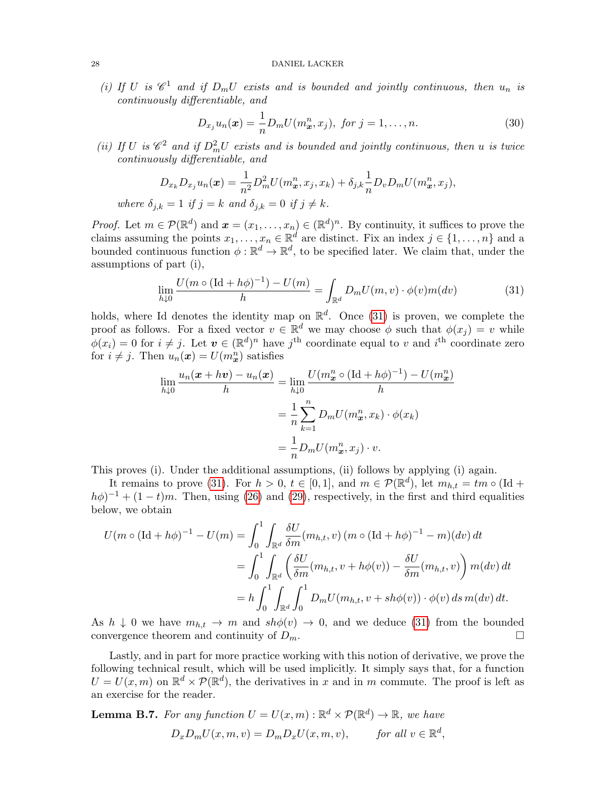(i) If U is  $\mathscr{C}^1$  and if  $D_m U$  exists and is bounded and jointly continuous, then  $u_n$  is continuously differentiable, and

$$
D_{x_j} u_n(\bm{x}) = \frac{1}{n} D_m U(m_{\bm{x}}^n, x_j), \text{ for } j = 1, ..., n. \tag{30}
$$

(ii) If U is  $\mathscr{C}^2$  and if  $D_m^2 U$  exists and is bounded and jointly continuous, then u is twice continuously differentiable, and

$$
D_{x_k}D_{x_j}u_n(\boldsymbol{x}) = \frac{1}{n^2}D_m^2U(m_{\boldsymbol{x}}^n, x_j, x_k) + \delta_{j,k}\frac{1}{n}D_vD_mU(m_{\boldsymbol{x}}^n, x_j),
$$
  
where  $\delta_{j,k} = 1$  if  $j = k$  and  $\delta_{j,k} = 0$  if  $j \neq k$ .

*Proof.* Let  $m \in \mathcal{P}(\mathbb{R}^d)$  and  $\boldsymbol{x} = (x_1, \ldots, x_n) \in (\mathbb{R}^d)^n$ . By continuity, it suffices to prove the claims assuming the points  $x_1, \ldots, x_n \in \mathbb{R}^d$  are distinct. Fix an index  $j \in \{1, \ldots, n\}$  and a bounded continuous function  $\phi: \mathbb{R}^d \to \mathbb{R}^d$ , to be specified later. We claim that, under the assumptions of part (i),

<span id="page-27-0"></span>
$$
\lim_{h \downarrow 0} \frac{U(m \circ (\text{Id} + h\phi)^{-1}) - U(m)}{h} = \int_{\mathbb{R}^d} D_m U(m, v) \cdot \phi(v) m(dv) \tag{31}
$$

holds, where Id denotes the identity map on  $\mathbb{R}^d$ . Once [\(31\)](#page-27-0) is proven, we complete the proof as follows. For a fixed vector  $v \in \mathbb{R}^d$  we may choose  $\phi$  such that  $\phi(x_j) = v$  while  $\phi(x_i) = 0$  for  $i \neq j$ . Let  $\boldsymbol{v} \in (\mathbb{R}^d)^n$  have  $j^{\text{th}}$  coordinate equal to v and  $i^{\text{th}}$  coordinate zero for  $i \neq j$ . Then  $u_n(\mathbf{x}) = U(m^n_{\mathbf{x}})$  satisfies

$$
\lim_{h \downarrow 0} \frac{u_n(\mathbf{x} + h\mathbf{v}) - u_n(\mathbf{x})}{h} = \lim_{h \downarrow 0} \frac{U(m^n_{\mathbf{x}} \circ (\text{Id} + h\phi)^{-1}) - U(m^n_{\mathbf{x}})}{h}
$$

$$
= \frac{1}{n} \sum_{k=1}^n D_m U(m^n_{\mathbf{x}}, x_k) \cdot \phi(x_k)
$$

$$
= \frac{1}{n} D_m U(m^n_{\mathbf{x}}, x_j) \cdot v.
$$

This proves (i). Under the additional assumptions, (ii) follows by applying (i) again.

It remains to prove [\(31\)](#page-27-0). For  $h > 0$ ,  $t \in [0, 1]$ , and  $m \in \mathcal{P}(\mathbb{R}^d)$ , let  $m_{h,t} = tm \circ (\text{Id} +$  $(h\phi)^{-1} + (1-t)m$ . Then, using [\(26\)](#page-25-1) and [\(29\)](#page-25-3), respectively, in the first and third equalities below, we obtain

$$
U(m \circ (\text{Id} + h\phi)^{-1} - U(m) = \int_0^1 \int_{\mathbb{R}^d} \frac{\delta U}{\delta m}(m_{h,t}, v) (m \circ (\text{Id} + h\phi)^{-1} - m)(dv) dt
$$
  
= 
$$
\int_0^1 \int_{\mathbb{R}^d} \left( \frac{\delta U}{\delta m}(m_{h,t}, v + h\phi(v)) - \frac{\delta U}{\delta m}(m_{h,t}, v) \right) m(dv) dt
$$
  
= 
$$
h \int_0^1 \int_{\mathbb{R}^d} \int_0^1 D_m U(m_{h,t}, v + sh\phi(v)) \cdot \phi(v) ds m(dv) dt.
$$

As  $h \downarrow 0$  we have  $m_{h,t} \to m$  and  $sh\phi(v) \to 0$ , and we deduce [\(31\)](#page-27-0) from the bounded convergence theorem and continuity of  $D_m$ .

Lastly, and in part for more practice working with this notion of derivative, we prove the following technical result, which will be used implicitly. It simply says that, for a function  $U = U(x, m)$  on  $\mathbb{R}^d \times \mathcal{P}(\mathbb{R}^d)$ , the derivatives in x and in m commute. The proof is left as an exercise for the reader.

**Lemma B.7.** For any function 
$$
U = U(x, m) : \mathbb{R}^d \times \mathcal{P}(\mathbb{R}^d) \to \mathbb{R}
$$
, we have  

$$
D_x D_m U(x, m, v) = D_m D_x U(x, m, v), \quad \text{for all } v \in \mathbb{R}^d,
$$